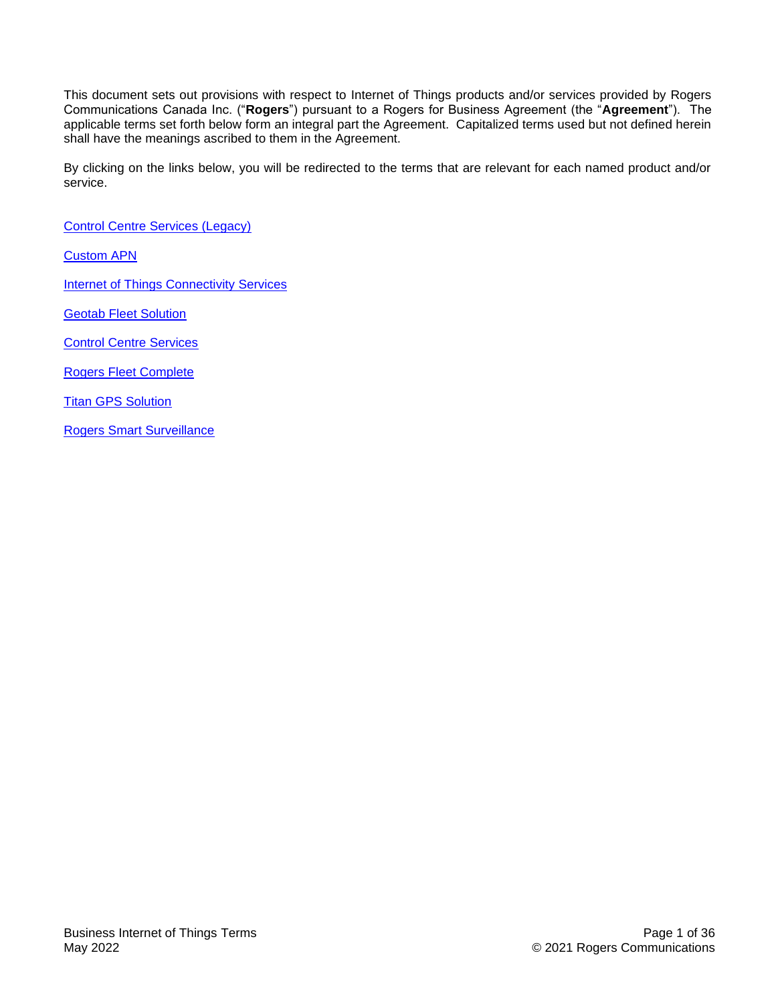This document sets out provisions with respect to Internet of Things products and/or services provided by Rogers Communications Canada Inc. ("**Rogers**") pursuant to a Rogers for Business Agreement (the "**Agreement**"). The applicable terms set forth below form an integral part the Agreement. Capitalized terms used but not defined herein shall have the meanings ascribed to them in the Agreement.

By clicking on the links below, you will be redirected to the terms that are relevant for each named product and/or service.

[Control Centre Services \(Legacy\)](#page-1-0)

[Custom APN](#page-5-0)

**[Internet of Things Connectivity](#page-6-0) Services** 

**[Geotab Fleet Solution](#page-10-0)** 

[Control Centre Services](#page-14-0)

[Rogers Fleet Complete](#page-23-0)

**[Titan GPS Solution](#page-27-0)** 

[Rogers Smart Surveillance](#page-31-0)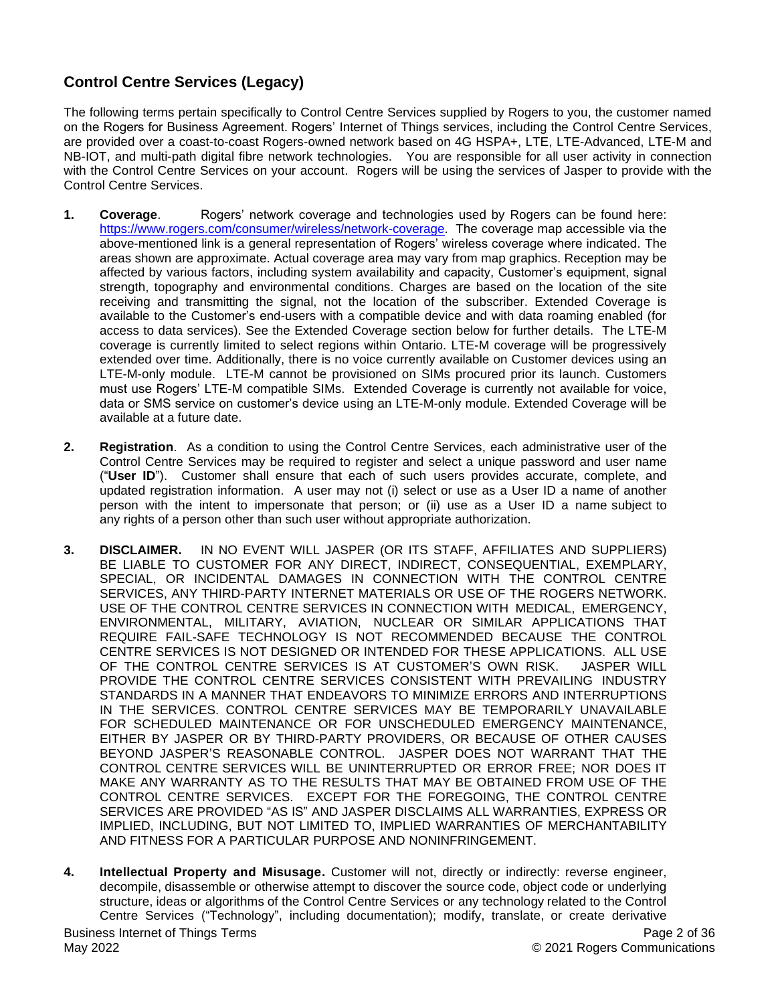# <span id="page-1-0"></span>**Control Centre Services (Legacy)**

The following terms pertain specifically to Control Centre Services supplied by Rogers to you, the customer named on the Rogers for Business Agreement. Rogers' Internet of Things services, including the Control Centre Services, are provided over a coast-to-coast Rogers-owned network based on 4G HSPA+, LTE, LTE-Advanced, LTE-M and NB-IOT, and multi-path digital fibre network technologies. You are responsible for all user activity in connection with the Control Centre Services on your account. Rogers will be using the services of Jasper to provide with the Control Centre Services.

- **1. Coverage**. Rogers' network coverage and technologies used by Rogers can be found here: [https://www.rogers.com/consumer/wireless/network-coverage.](https://www.rogers.com/consumer/wireless/network-coverage) The coverage map accessible via the above-mentioned link is a general representation of Rogers' wireless coverage where indicated. The areas shown are approximate. Actual coverage area may vary from map graphics. Reception may be affected by various factors, including system availability and capacity, Customer's equipment, signal strength, topography and environmental conditions. Charges are based on the location of the site receiving and transmitting the signal, not the location of the subscriber. Extended Coverage is available to the Customer's end-users with a compatible device and with data roaming enabled (for access to data services). See the Extended Coverage section below for further details. The LTE-M coverage is currently limited to select regions within Ontario. LTE-M coverage will be progressively extended over time. Additionally, there is no voice currently available on Customer devices using an LTE-M-only module. LTE-M cannot be provisioned on SIMs procured prior its launch. Customers must use Rogers' LTE-M compatible SIMs. Extended Coverage is currently not available for voice, data or SMS service on customer's device using an LTE-M-only module. Extended Coverage will be available at a future date.
- **2. Registration**. As a condition to using the Control Centre Services, each administrative user of the Control Centre Services may be required to register and select a unique password and user name ("**User ID**"). Customer shall ensure that each of such users provides accurate, complete, and updated registration information. A user may not (i) select or use as a User ID a name of another person with the intent to impersonate that person; or (ii) use as a User ID a name subject to any rights of a person other than such user without appropriate authorization.
- **3. DISCLAIMER.** IN NO EVENT WILL JASPER (OR ITS STAFF, AFFILIATES AND SUPPLIERS) BE LIABLE TO CUSTOMER FOR ANY DIRECT, INDIRECT, CONSEQUENTIAL, EXEMPLARY, SPECIAL, OR INCIDENTAL DAMAGES IN CONNECTION WITH THE CONTROL CENTRE SERVICES, ANY THIRD-PARTY INTERNET MATERIALS OR USE OF THE ROGERS NETWORK. USE OF THE CONTROL CENTRE SERVICES IN CONNECTION WITH MEDICAL, EMERGENCY, ENVIRONMENTAL, MILITARY, AVIATION, NUCLEAR OR SIMILAR APPLICATIONS THAT REQUIRE FAIL-SAFE TECHNOLOGY IS NOT RECOMMENDED BECAUSE THE CONTROL CENTRE SERVICES IS NOT DESIGNED OR INTENDED FOR THESE APPLICATIONS. ALL USE OF THE CONTROL CENTRE SERVICES IS AT CUSTOMER'S OWN RISK. JASPER WILL PROVIDE THE CONTROL CENTRE SERVICES CONSISTENT WITH PREVAILING INDUSTRY STANDARDS IN A MANNER THAT ENDEAVORS TO MINIMIZE ERRORS AND INTERRUPTIONS IN THE SERVICES. CONTROL CENTRE SERVICES MAY BE TEMPORARILY UNAVAILABLE FOR SCHEDULED MAINTENANCE OR FOR UNSCHEDULED EMERGENCY MAINTENANCE, EITHER BY JASPER OR BY THIRD-PARTY PROVIDERS, OR BECAUSE OF OTHER CAUSES BEYOND JASPER'S REASONABLE CONTROL. JASPER DOES NOT WARRANT THAT THE CONTROL CENTRE SERVICES WILL BE UNINTERRUPTED OR ERROR FREE; NOR DOES IT MAKE ANY WARRANTY AS TO THE RESULTS THAT MAY BE OBTAINED FROM USE OF THE CONTROL CENTRE SERVICES. EXCEPT FOR THE FOREGOING, THE CONTROL CENTRE SERVICES ARE PROVIDED "AS IS" AND JASPER DISCLAIMS ALL WARRANTIES, EXPRESS OR IMPLIED, INCLUDING, BUT NOT LIMITED TO, IMPLIED WARRANTIES OF MERCHANTABILITY AND FITNESS FOR A PARTICULAR PURPOSE AND NONINFRINGEMENT.
- **4. Intellectual Property and Misusage.** Customer will not, directly or indirectly: reverse engineer, decompile, disassemble or otherwise attempt to discover the source code, object code or underlying structure, ideas or algorithms of the Control Centre Services or any technology related to the Control Centre Services ("Technology", including documentation); modify, translate, or create derivative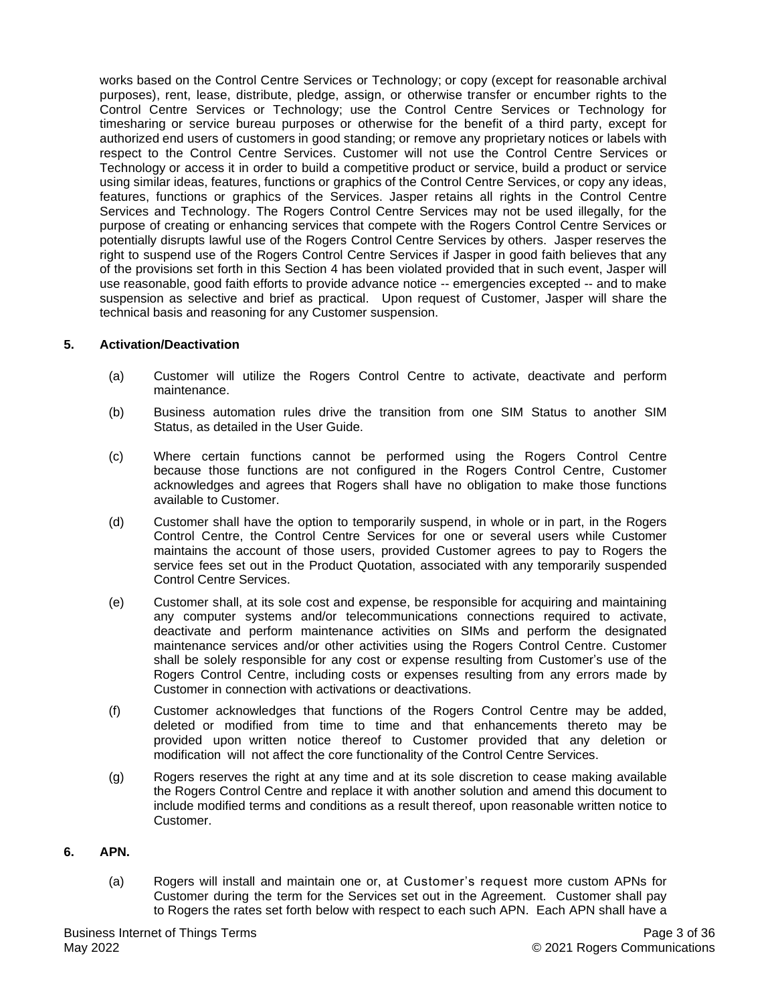works based on the Control Centre Services or Technology; or copy (except for reasonable archival purposes), rent, lease, distribute, pledge, assign, or otherwise transfer or encumber rights to the Control Centre Services or Technology; use the Control Centre Services or Technology for timesharing or service bureau purposes or otherwise for the benefit of a third party, except for authorized end users of customers in good standing; or remove any proprietary notices or labels with respect to the Control Centre Services. Customer will not use the Control Centre Services or Technology or access it in order to build a competitive product or service, build a product or service using similar ideas, features, functions or graphics of the Control Centre Services, or copy any ideas, features, functions or graphics of the Services. Jasper retains all rights in the Control Centre Services and Technology. The Rogers Control Centre Services may not be used illegally, for the purpose of creating or enhancing services that compete with the Rogers Control Centre Services or potentially disrupts lawful use of the Rogers Control Centre Services by others. Jasper reserves the right to suspend use of the Rogers Control Centre Services if Jasper in good faith believes that any of the provisions set forth in this Section 4 has been violated provided that in such event, Jasper will use reasonable, good faith efforts to provide advance notice -- emergencies excepted -- and to make suspension as selective and brief as practical. Upon request of Customer, Jasper will share the technical basis and reasoning for any Customer suspension.

#### **5. Activation/Deactivation**

- (a) Customer will utilize the Rogers Control Centre to activate, deactivate and perform maintenance.
- (b) Business automation rules drive the transition from one SIM Status to another SIM Status, as detailed in the User Guide.
- (c) Where certain functions cannot be performed using the Rogers Control Centre because those functions are not configured in the Rogers Control Centre, Customer acknowledges and agrees that Rogers shall have no obligation to make those functions available to Customer.
- (d) Customer shall have the option to temporarily suspend, in whole or in part, in the Rogers Control Centre, the Control Centre Services for one or several users while Customer maintains the account of those users, provided Customer agrees to pay to Rogers the service fees set out in the Product Quotation, associated with any temporarily suspended Control Centre Services.
- (e) Customer shall, at its sole cost and expense, be responsible for acquiring and maintaining any computer systems and/or telecommunications connections required to activate, deactivate and perform maintenance activities on SIMs and perform the designated maintenance services and/or other activities using the Rogers Control Centre. Customer shall be solely responsible for any cost or expense resulting from Customer's use of the Rogers Control Centre, including costs or expenses resulting from any errors made by Customer in connection with activations or deactivations.
- (f) Customer acknowledges that functions of the Rogers Control Centre may be added, deleted or modified from time to time and that enhancements thereto may be provided upon written notice thereof to Customer provided that any deletion or modification will not affect the core functionality of the Control Centre Services.
- (g) Rogers reserves the right at any time and at its sole discretion to cease making available the Rogers Control Centre and replace it with another solution and amend this document to include modified terms and conditions as a result thereof, upon reasonable written notice to Customer.

# **6. APN.**

(a) Rogers will install and maintain one or, at Customer's request more custom APNs for Customer during the term for the Services set out in the Agreement. Customer shall pay to Rogers the rates set forth below with respect to each such APN. Each APN shall have a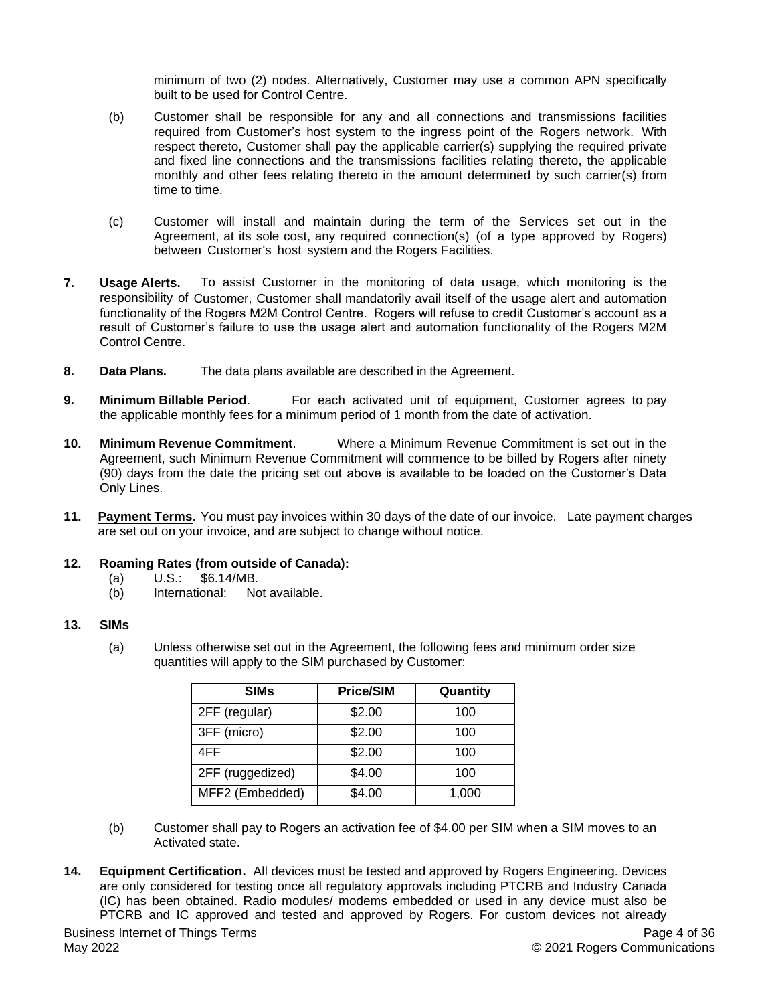minimum of two (2) nodes. Alternatively, Customer may use a common APN specifically built to be used for Control Centre.

- (b) Customer shall be responsible for any and all connections and transmissions facilities required from Customer's host system to the ingress point of the Rogers network. With respect thereto, Customer shall pay the applicable carrier(s) supplying the required private and fixed line connections and the transmissions facilities relating thereto, the applicable monthly and other fees relating thereto in the amount determined by such carrier(s) from time to time.
- (c) Customer will install and maintain during the term of the Services set out in the Agreement, at its sole cost, any required connection(s) (of a type approved by Rogers) between Customer's host system and the Rogers Facilities.
- **7. Usage Alerts.** To assist Customer in the monitoring of data usage, which monitoring is the responsibility of Customer, Customer shall mandatorily avail itself of the usage alert and automation functionality of the Rogers M2M Control Centre. Rogers will refuse to credit Customer's account as a result of Customer's failure to use the usage alert and automation functionality of the Rogers M2M Control Centre.
- **8. Data Plans.** The data plans available are described in the Agreement.
- **9. Minimum Billable Period**. For each activated unit of equipment, Customer agrees to pay the applicable monthly fees for a minimum period of 1 month from the date of activation.
- **10. Minimum Revenue Commitment**. Where a Minimum Revenue Commitment is set out in the Agreement, such Minimum Revenue Commitment will commence to be billed by Rogers after ninety (90) days from the date the pricing set out above is available to be loaded on the Customer's Data Only Lines.
- **11. Payment Terms**. You must pay invoices within 30 days of the date of our invoice. Late payment charges are set out on your invoice, and are subject to change without notice.

# **12. Roaming Rates (from outside of Canada):**

- (a) U.S.: \$6.14/MB.
- (b) International: Not available.

#### **13. SIMs**

(a) Unless otherwise set out in the Agreement, the following fees and minimum order size quantities will apply to the SIM purchased by Customer:

| <b>SIMs</b>      | <b>Price/SIM</b> | Quantity |
|------------------|------------------|----------|
| 2FF (regular)    | \$2.00           | 100      |
| 3FF (micro)      | \$2.00           | 100      |
| 4FF              | \$2.00           | 100      |
| 2FF (ruggedized) | \$4.00           | 100      |
| MFF2 (Embedded)  | \$4.00           | 1,000    |

- (b) Customer shall pay to Rogers an activation fee of \$4.00 per SIM when a SIM moves to an Activated state.
- **14. Equipment Certification.** All devices must be tested and approved by Rogers Engineering. Devices are only considered for testing once all regulatory approvals including PTCRB and Industry Canada (IC) has been obtained. Radio modules/ modems embedded or used in any device must also be PTCRB and IC approved and tested and approved by Rogers. For custom devices not already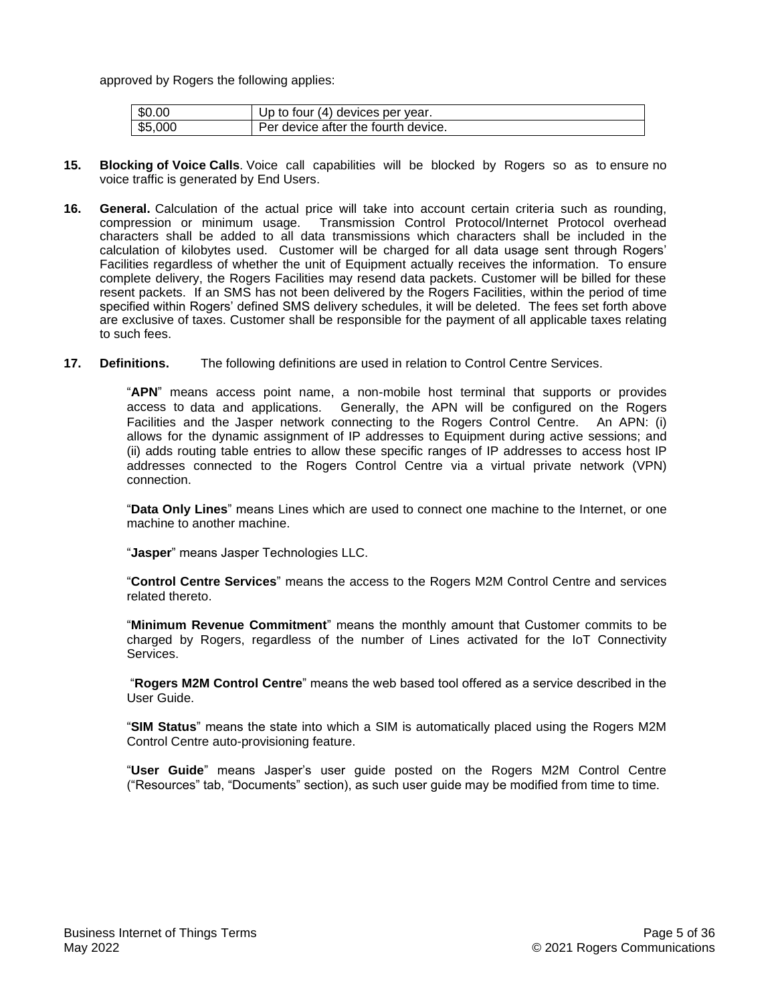approved by Rogers the following applies:

| $\$0.00$              | Up to four (4) devices per year.    |
|-----------------------|-------------------------------------|
| $\frac{1}{2}$ \$5,000 | Per device after the fourth device. |

- **15. Blocking of Voice Calls**. Voice call capabilities will be blocked by Rogers so as to ensure no voice traffic is generated by End Users.
- **16. General.** Calculation of the actual price will take into account certain criteria such as rounding, compression or minimum usage. Transmission Control Protocol/Internet Protocol overhead characters shall be added to all data transmissions which characters shall be included in the calculation of kilobytes used. Customer will be charged for all data usage sent through Rogers' Facilities regardless of whether the unit of Equipment actually receives the information. To ensure complete delivery, the Rogers Facilities may resend data packets. Customer will be billed for these resent packets. If an SMS has not been delivered by the Rogers Facilities, within the period of time specified within Rogers' defined SMS delivery schedules, it will be deleted.The fees set forth above are exclusive of taxes. Customer shall be responsible for the payment of all applicable taxes relating to such fees.
- **17. Definitions.** The following definitions are used in relation to Control Centre Services.

"**APN**" means access point name, a non-mobile host terminal that supports or provides access to data and applications. Generally, the APN will be configured on the Rogers Facilities and the Jasper network connecting to the Rogers Control Centre. An APN: (i) allows for the dynamic assignment of IP addresses to Equipment during active sessions; and (ii) adds routing table entries to allow these specific ranges of IP addresses to access host IP addresses connected to the Rogers Control Centre via a virtual private network (VPN) connection.

"**Data Only Lines**" means Lines which are used to connect one machine to the Internet, or one machine to another machine.

"**Jasper**" means Jasper Technologies LLC.

"**Control Centre Services**" means the access to the Rogers M2M Control Centre and services related thereto.

"**Minimum Revenue Commitment**" means the monthly amount that Customer commits to be charged by Rogers, regardless of the number of Lines activated for the IoT Connectivity Services.

"**Rogers M2M Control Centre**" means the web based tool offered as a service described in the User Guide.

"**SIM Status**" means the state into which a SIM is automatically placed using the Rogers M2M Control Centre auto-provisioning feature.

"**User Guide**" means Jasper's user guide posted on the Rogers M2M Control Centre ("Resources" tab, "Documents" section), as such user guide may be modified from time to time.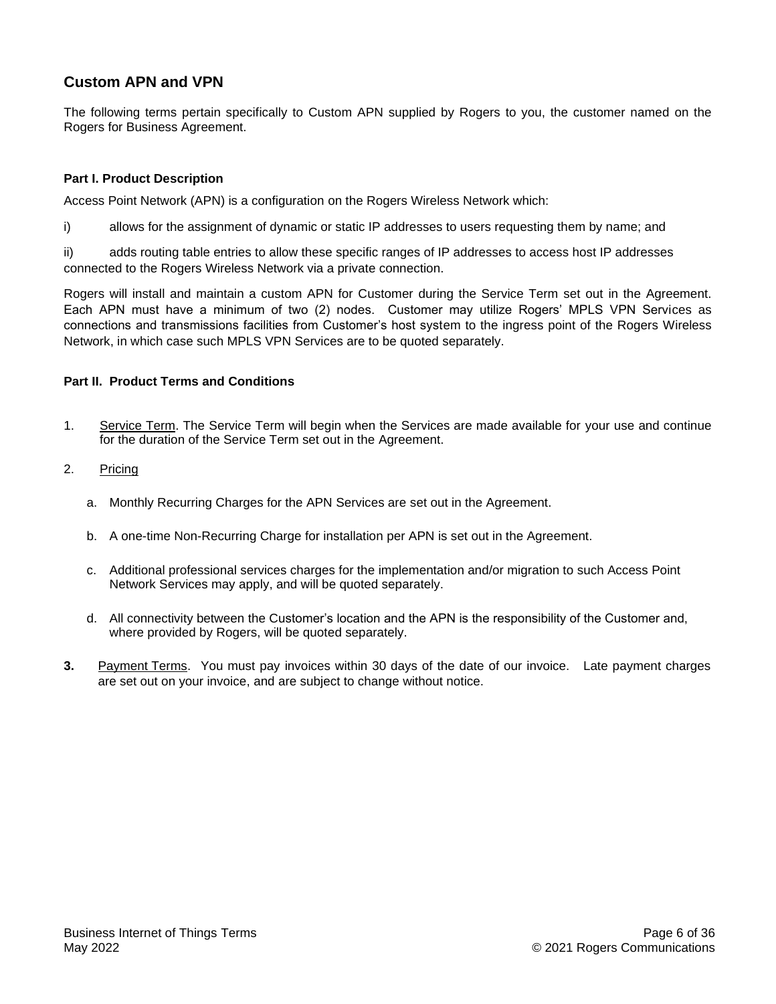# <span id="page-5-0"></span>**Custom APN and VPN**

The following terms pertain specifically to Custom APN supplied by Rogers to you, the customer named on the Rogers for Business Agreement.

# **Part I. Product Description**

Access Point Network (APN) is a configuration on the Rogers Wireless Network which:

i) allows for the assignment of dynamic or static IP addresses to users requesting them by name; and

ii) adds routing table entries to allow these specific ranges of IP addresses to access host IP addresses connected to the Rogers Wireless Network via a private connection.

Rogers will install and maintain a custom APN for Customer during the Service Term set out in the Agreement. Each APN must have a minimum of two (2) nodes. Customer may utilize Rogers' MPLS VPN Services as connections and transmissions facilities from Customer's host system to the ingress point of the Rogers Wireless Network, in which case such MPLS VPN Services are to be quoted separately.

# **Part II. Product Terms and Conditions**

- 1. Service Term. The Service Term will begin when the Services are made available for your use and continue for the duration of the Service Term set out in the Agreement.
- 2. Pricing
	- a. Monthly Recurring Charges for the APN Services are set out in the Agreement.
	- b. A one-time Non-Recurring Charge for installation per APN is set out in the Agreement.
	- c. Additional professional services charges for the implementation and/or migration to such Access Point Network Services may apply, and will be quoted separately.
	- d. All connectivity between the Customer's location and the APN is the responsibility of the Customer and, where provided by Rogers, will be quoted separately.
- **3.** Payment Terms. You must pay invoices within 30 days of the date of our invoice. Late payment charges are set out on your invoice, and are subject to change without notice.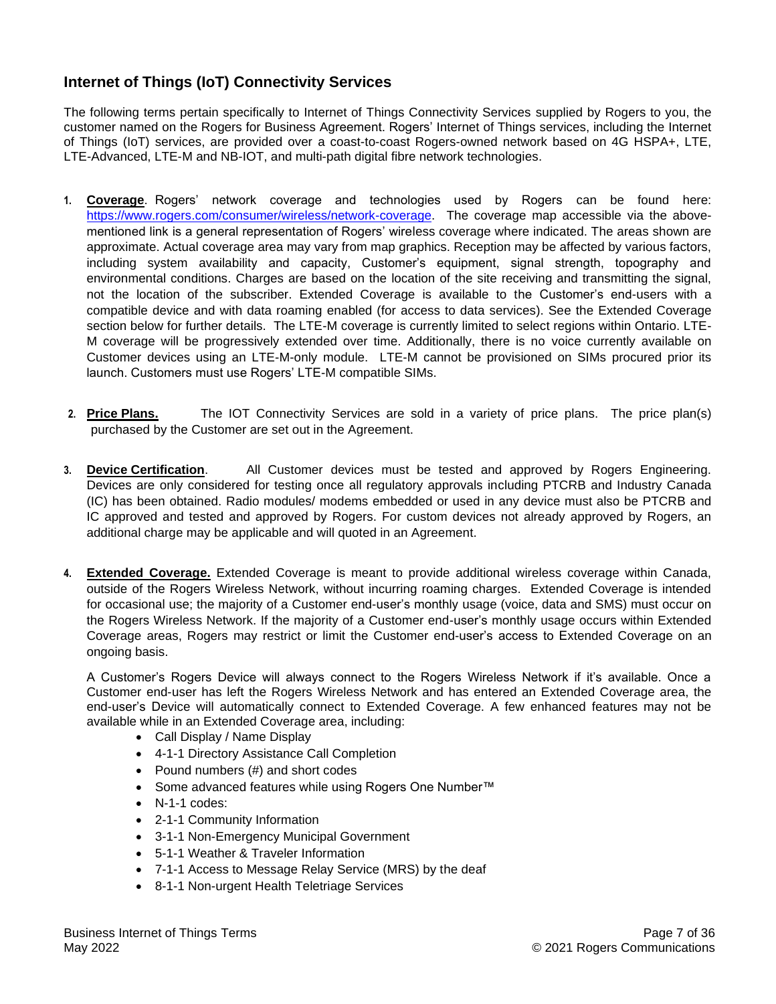# <span id="page-6-0"></span>**Internet of Things (IoT) Connectivity Services**

The following terms pertain specifically to Internet of Things Connectivity Services supplied by Rogers to you, the customer named on the Rogers for Business Agreement. Rogers' Internet of Things services, including the Internet of Things (IoT) services, are provided over a coast-to-coast Rogers-owned network based on 4G HSPA+, LTE, LTE-Advanced, LTE-M and NB-IOT, and multi-path digital fibre network technologies.

- **1. Coverage**. Rogers' network coverage and technologies used by Rogers can be found here: [https://www.rogers.com/consumer/wireless/network-coverage.](https://www.rogers.com/consumer/wireless/network-coverage) The coverage map accessible via the abovementioned link is a general representation of Rogers' wireless coverage where indicated. The areas shown are approximate. Actual coverage area may vary from map graphics. Reception may be affected by various factors, including system availability and capacity, Customer's equipment, signal strength, topography and environmental conditions. Charges are based on the location of the site receiving and transmitting the signal, not the location of the subscriber. Extended Coverage is available to the Customer's end-users with a compatible device and with data roaming enabled (for access to data services). See the Extended Coverage section below for further details. The LTE-M coverage is currently limited to select regions within Ontario. LTE-M coverage will be progressively extended over time. Additionally, there is no voice currently available on Customer devices using an LTE-M-only module. LTE-M cannot be provisioned on SIMs procured prior its launch. Customers must use Rogers' LTE-M compatible SIMs.
- **2. Price Plans.** The IOT Connectivity Services are sold in a variety of price plans. The price plan(s) purchased by the Customer are set out in the Agreement.
- **3. Device Certification**. All Customer devices must be tested and approved by Rogers Engineering. Devices are only considered for testing once all regulatory approvals including PTCRB and Industry Canada (IC) has been obtained. Radio modules/ modems embedded or used in any device must also be PTCRB and IC approved and tested and approved by Rogers. For custom devices not already approved by Rogers, an additional charge may be applicable and will quoted in an Agreement.
- **4. Extended Coverage.** Extended Coverage is meant to provide additional wireless coverage within Canada, outside of the Rogers Wireless Network, without incurring roaming charges. Extended Coverage is intended for occasional use; the majority of a Customer end-user's monthly usage (voice, data and SMS) must occur on the Rogers Wireless Network. If the majority of a Customer end-user's monthly usage occurs within Extended Coverage areas, Rogers may restrict or limit the Customer end-user's access to Extended Coverage on an ongoing basis.

A Customer's Rogers Device will always connect to the Rogers Wireless Network if it's available. Once a Customer end-user has left the Rogers Wireless Network and has entered an Extended Coverage area, the end-user's Device will automatically connect to Extended Coverage. A few enhanced features may not be available while in an Extended Coverage area, including:

- Call Display / Name Display
- 4-1-1 Directory Assistance Call Completion
- Pound numbers (#) and short codes
- Some advanced features while using Rogers One Number™
- N-1-1 codes:
- 2-1-1 Community Information
- 3-1-1 Non-Emergency Municipal Government
- 5-1-1 Weather & Traveler Information
- 7-1-1 Access to Message Relay Service (MRS) by the deaf
- 8-1-1 Non-urgent Health Teletriage Services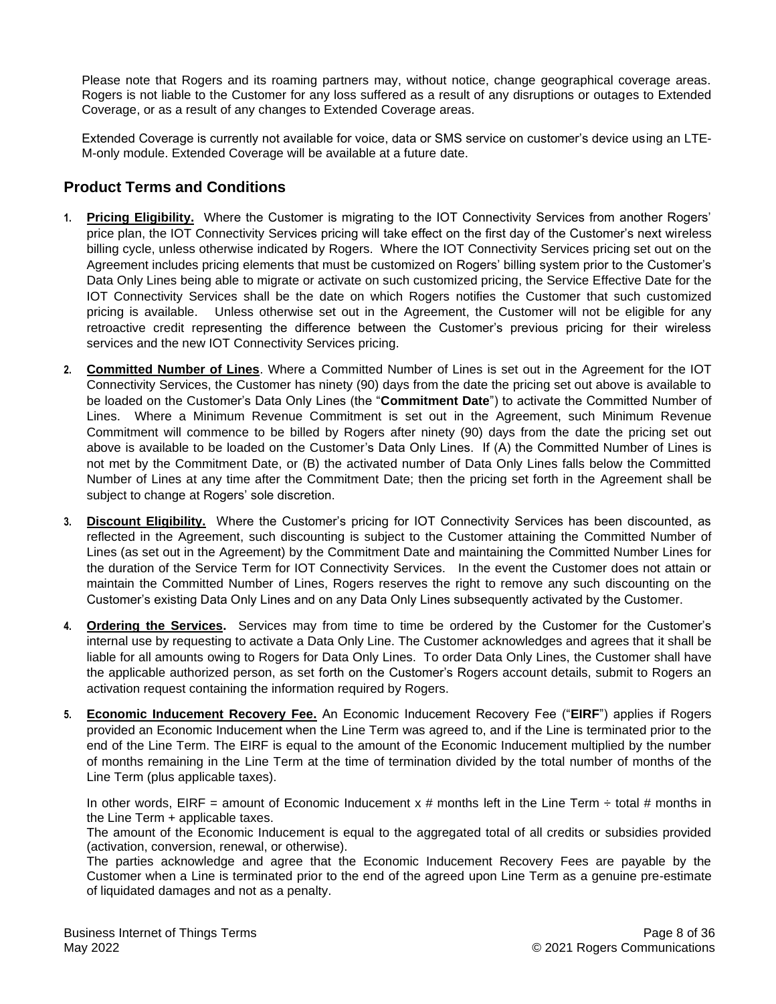Please note that Rogers and its roaming partners may, without notice, change geographical coverage areas. Rogers is not liable to the Customer for any loss suffered as a result of any disruptions or outages to Extended Coverage, or as a result of any changes to Extended Coverage areas.

Extended Coverage is currently not available for voice, data or SMS service on customer's device using an LTE-M-only module. Extended Coverage will be available at a future date.

# **Product Terms and Conditions**

- **1. Pricing Eligibility.** Where the Customer is migrating to the IOT Connectivity Services from another Rogers' price plan, the IOT Connectivity Services pricing will take effect on the first day of the Customer's next wireless billing cycle, unless otherwise indicated by Rogers. Where the IOT Connectivity Services pricing set out on the Agreement includes pricing elements that must be customized on Rogers' billing system prior to the Customer's Data Only Lines being able to migrate or activate on such customized pricing, the Service Effective Date for the IOT Connectivity Services shall be the date on which Rogers notifies the Customer that such customized pricing is available. Unless otherwise set out in the Agreement, the Customer will not be eligible for any retroactive credit representing the difference between the Customer's previous pricing for their wireless services and the new IOT Connectivity Services pricing.
- **2. Committed Number of Lines**. Where a Committed Number of Lines is set out in the Agreement for the IOT Connectivity Services, the Customer has ninety (90) days from the date the pricing set out above is available to be loaded on the Customer's Data Only Lines (the "**Commitment Date**") to activate the Committed Number of Lines. Where a Minimum Revenue Commitment is set out in the Agreement, such Minimum Revenue Commitment will commence to be billed by Rogers after ninety (90) days from the date the pricing set out above is available to be loaded on the Customer's Data Only Lines. If (A) the Committed Number of Lines is not met by the Commitment Date, or (B) the activated number of Data Only Lines falls below the Committed Number of Lines at any time after the Commitment Date; then the pricing set forth in the Agreement shall be subject to change at Rogers' sole discretion.
- **3. Discount Eligibility.** Where the Customer's pricing for IOT Connectivity Services has been discounted, as reflected in the Agreement, such discounting is subject to the Customer attaining the Committed Number of Lines (as set out in the Agreement) by the Commitment Date and maintaining the Committed Number Lines for the duration of the Service Term for IOT Connectivity Services. In the event the Customer does not attain or maintain the Committed Number of Lines, Rogers reserves the right to remove any such discounting on the Customer's existing Data Only Lines and on any Data Only Lines subsequently activated by the Customer.
- **4. Ordering the Services.** Services may from time to time be ordered by the Customer for the Customer's internal use by requesting to activate a Data Only Line. The Customer acknowledges and agrees that it shall be liable for all amounts owing to Rogers for Data Only Lines. To order Data Only Lines, the Customer shall have the applicable authorized person, as set forth on the Customer's Rogers account details, submit to Rogers an activation request containing the information required by Rogers.
- **5. Economic Inducement Recovery Fee.** An Economic Inducement Recovery Fee ("**EIRF**") applies if Rogers provided an Economic Inducement when the Line Term was agreed to, and if the Line is terminated prior to the end of the Line Term. The EIRF is equal to the amount of the Economic Inducement multiplied by the number of months remaining in the Line Term at the time of termination divided by the total number of months of the Line Term (plus applicable taxes).

In other words, EIRF = amount of Economic Inducement x # months left in the Line Term  $\div$  total # months in the Line Term + applicable taxes.

The amount of the Economic Inducement is equal to the aggregated total of all credits or subsidies provided (activation, conversion, renewal, or otherwise).

The parties acknowledge and agree that the Economic Inducement Recovery Fees are payable by the Customer when a Line is terminated prior to the end of the agreed upon Line Term as a genuine pre-estimate of liquidated damages and not as a penalty.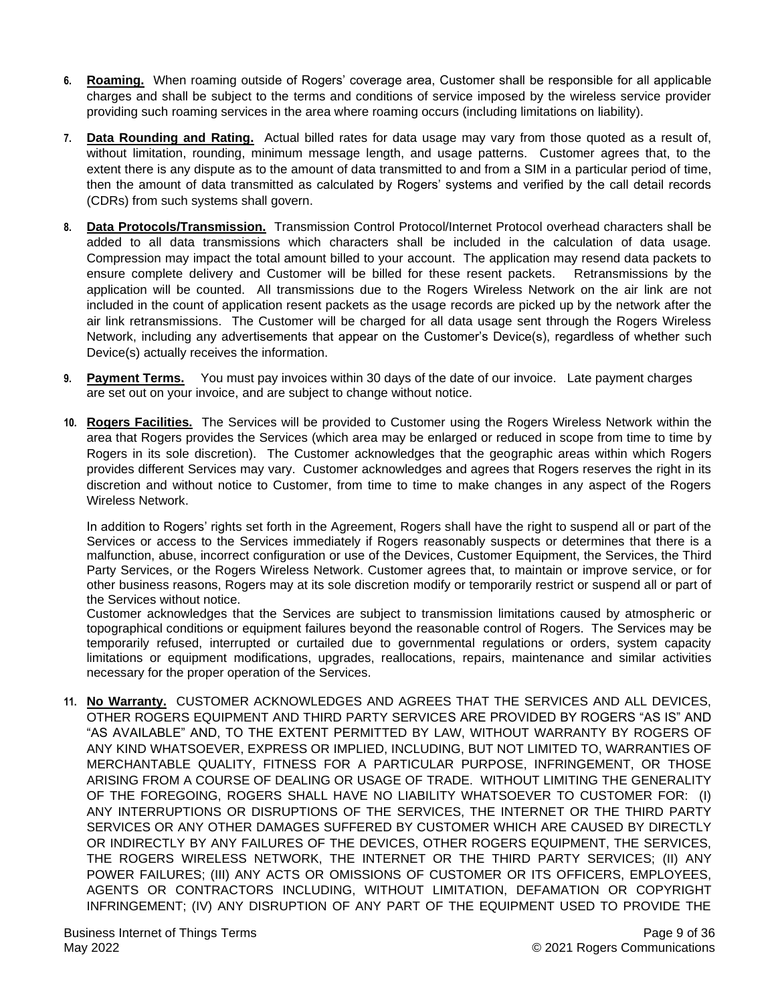- **6. Roaming.** When roaming outside of Rogers' coverage area, Customer shall be responsible for all applicable charges and shall be subject to the terms and conditions of service imposed by the wireless service provider providing such roaming services in the area where roaming occurs (including limitations on liability).
- **7. Data Rounding and Rating.** Actual billed rates for data usage may vary from those quoted as a result of, without limitation, rounding, minimum message length, and usage patterns. Customer agrees that, to the extent there is any dispute as to the amount of data transmitted to and from a SIM in a particular period of time, then the amount of data transmitted as calculated by Rogers' systems and verified by the call detail records (CDRs) from such systems shall govern.
- **8. Data Protocols/Transmission.** Transmission Control Protocol/Internet Protocol overhead characters shall be added to all data transmissions which characters shall be included in the calculation of data usage. Compression may impact the total amount billed to your account. The application may resend data packets to ensure complete delivery and Customer will be billed for these resent packets. Retransmissions by the application will be counted. All transmissions due to the Rogers Wireless Network on the air link are not included in the count of application resent packets as the usage records are picked up by the network after the air link retransmissions. The Customer will be charged for all data usage sent through the Rogers Wireless Network, including any advertisements that appear on the Customer's Device(s), regardless of whether such Device(s) actually receives the information.
- **9. Payment Terms.** You must pay invoices within 30 days of the date of our invoice. Late payment charges are set out on your invoice, and are subject to change without notice.
- **10. Rogers Facilities.** The Services will be provided to Customer using the Rogers Wireless Network within the area that Rogers provides the Services (which area may be enlarged or reduced in scope from time to time by Rogers in its sole discretion). The Customer acknowledges that the geographic areas within which Rogers provides different Services may vary. Customer acknowledges and agrees that Rogers reserves the right in its discretion and without notice to Customer, from time to time to make changes in any aspect of the Rogers Wireless Network.

In addition to Rogers' rights set forth in the Agreement, Rogers shall have the right to suspend all or part of the Services or access to the Services immediately if Rogers reasonably suspects or determines that there is a malfunction, abuse, incorrect configuration or use of the Devices, Customer Equipment, the Services, the Third Party Services, or the Rogers Wireless Network. Customer agrees that, to maintain or improve service, or for other business reasons, Rogers may at its sole discretion modify or temporarily restrict or suspend all or part of the Services without notice.

Customer acknowledges that the Services are subject to transmission limitations caused by atmospheric or topographical conditions or equipment failures beyond the reasonable control of Rogers. The Services may be temporarily refused, interrupted or curtailed due to governmental regulations or orders, system capacity limitations or equipment modifications, upgrades, reallocations, repairs, maintenance and similar activities necessary for the proper operation of the Services.

**11. No Warranty.** CUSTOMER ACKNOWLEDGES AND AGREES THAT THE SERVICES AND ALL DEVICES, OTHER ROGERS EQUIPMENT AND THIRD PARTY SERVICES ARE PROVIDED BY ROGERS "AS IS" AND "AS AVAILABLE" AND, TO THE EXTENT PERMITTED BY LAW, WITHOUT WARRANTY BY ROGERS OF ANY KIND WHATSOEVER, EXPRESS OR IMPLIED, INCLUDING, BUT NOT LIMITED TO, WARRANTIES OF MERCHANTABLE QUALITY, FITNESS FOR A PARTICULAR PURPOSE, INFRINGEMENT, OR THOSE ARISING FROM A COURSE OF DEALING OR USAGE OF TRADE. WITHOUT LIMITING THE GENERALITY OF THE FOREGOING, ROGERS SHALL HAVE NO LIABILITY WHATSOEVER TO CUSTOMER FOR: (I) ANY INTERRUPTIONS OR DISRUPTIONS OF THE SERVICES, THE INTERNET OR THE THIRD PARTY SERVICES OR ANY OTHER DAMAGES SUFFERED BY CUSTOMER WHICH ARE CAUSED BY DIRECTLY OR INDIRECTLY BY ANY FAILURES OF THE DEVICES, OTHER ROGERS EQUIPMENT, THE SERVICES, THE ROGERS WIRELESS NETWORK, THE INTERNET OR THE THIRD PARTY SERVICES; (II) ANY POWER FAILURES; (III) ANY ACTS OR OMISSIONS OF CUSTOMER OR ITS OFFICERS, EMPLOYEES, AGENTS OR CONTRACTORS INCLUDING, WITHOUT LIMITATION, DEFAMATION OR COPYRIGHT INFRINGEMENT; (IV) ANY DISRUPTION OF ANY PART OF THE EQUIPMENT USED TO PROVIDE THE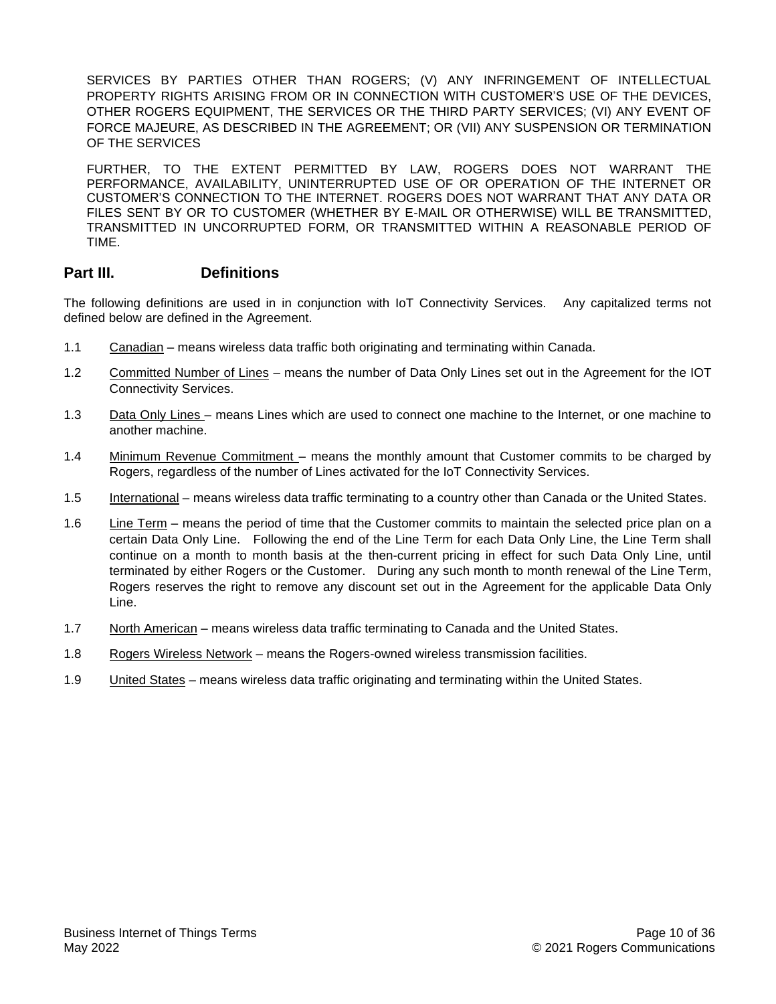SERVICES BY PARTIES OTHER THAN ROGERS; (V) ANY INFRINGEMENT OF INTELLECTUAL PROPERTY RIGHTS ARISING FROM OR IN CONNECTION WITH CUSTOMER'S USE OF THE DEVICES, OTHER ROGERS EQUIPMENT, THE SERVICES OR THE THIRD PARTY SERVICES; (VI) ANY EVENT OF FORCE MAJEURE, AS DESCRIBED IN THE AGREEMENT; OR (VII) ANY SUSPENSION OR TERMINATION OF THE SERVICES

FURTHER, TO THE EXTENT PERMITTED BY LAW, ROGERS DOES NOT WARRANT THE PERFORMANCE, AVAILABILITY, UNINTERRUPTED USE OF OR OPERATION OF THE INTERNET OR CUSTOMER'S CONNECTION TO THE INTERNET. ROGERS DOES NOT WARRANT THAT ANY DATA OR FILES SENT BY OR TO CUSTOMER (WHETHER BY E-MAIL OR OTHERWISE) WILL BE TRANSMITTED, TRANSMITTED IN UNCORRUPTED FORM, OR TRANSMITTED WITHIN A REASONABLE PERIOD OF TIME.

# **Part III. Definitions**

The following definitions are used in in conjunction with IoT Connectivity Services. Any capitalized terms not defined below are defined in the Agreement.

- 1.1 Canadian means wireless data traffic both originating and terminating within Canada.
- 1.2 Committed Number of Lines means the number of Data Only Lines set out in the Agreement for the IOT Connectivity Services.
- 1.3 Data Only Lines means Lines which are used to connect one machine to the Internet, or one machine to another machine.
- 1.4 Minimum Revenue Commitment means the monthly amount that Customer commits to be charged by Rogers, regardless of the number of Lines activated for the IoT Connectivity Services.
- 1.5 International means wireless data traffic terminating to a country other than Canada or the United States.
- 1.6 Line Term means the period of time that the Customer commits to maintain the selected price plan on a certain Data Only Line. Following the end of the Line Term for each Data Only Line, the Line Term shall continue on a month to month basis at the then-current pricing in effect for such Data Only Line, until terminated by either Rogers or the Customer. During any such month to month renewal of the Line Term, Rogers reserves the right to remove any discount set out in the Agreement for the applicable Data Only Line.
- 1.7 North American means wireless data traffic terminating to Canada and the United States.
- 1.8 Rogers Wireless Network means the Rogers-owned wireless transmission facilities.
- 1.9 United States means wireless data traffic originating and terminating within the United States.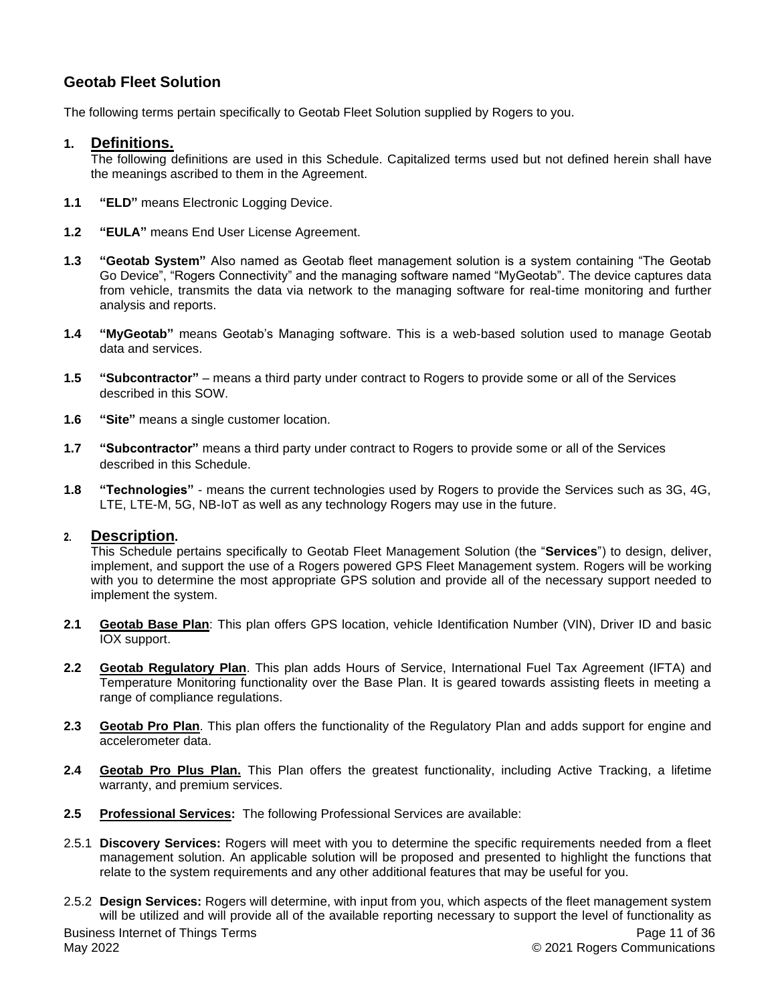# <span id="page-10-0"></span>**Geotab Fleet Solution**

The following terms pertain specifically to Geotab Fleet Solution supplied by Rogers to you.

# **1. Definitions.**

The following definitions are used in this Schedule. Capitalized terms used but not defined herein shall have the meanings ascribed to them in the Agreement.

- **1.1 "ELD"** means Electronic Logging Device.
- **1.2 "EULA"** means End User License Agreement.
- **1.3 "Geotab System"** Also named as Geotab fleet management solution is a system containing "The Geotab Go Device", "Rogers Connectivity" and the managing software named "MyGeotab". The device captures data from vehicle, transmits the data via network to the managing software for real-time monitoring and further analysis and reports.
- **1.4 "MyGeotab"** means Geotab's Managing software. This is a web-based solution used to manage Geotab data and services.
- **1.5 "Subcontractor"** means a third party under contract to Rogers to provide some or all of the Services described in this SOW.
- **1.6 "Site"** means a single customer location.
- **1.7 "Subcontractor"** means a third party under contract to Rogers to provide some or all of the Services described in this Schedule.
- **1.8 "Technologies"** means the current technologies used by Rogers to provide the Services such as 3G, 4G, LTE, LTE-M, 5G, NB-IoT as well as any technology Rogers may use in the future.

# **2. Description.**

This Schedule pertains specifically to Geotab Fleet Management Solution (the "**Services**") to design, deliver, implement, and support the use of a Rogers powered GPS Fleet Management system. Rogers will be working with you to determine the most appropriate GPS solution and provide all of the necessary support needed to implement the system.

- **2.1 Geotab Base Plan**: This plan offers GPS location, vehicle Identification Number (VIN), Driver ID and basic IOX support.
- **2.2 Geotab Regulatory Plan**. This plan adds Hours of Service, International Fuel Tax Agreement (IFTA) and Temperature Monitoring functionality over the Base Plan. It is geared towards assisting fleets in meeting a range of compliance regulations.
- **2.3 Geotab Pro Plan**. This plan offers the functionality of the Regulatory Plan and adds support for engine and accelerometer data.
- **2.4 Geotab Pro Plus Plan.** This Plan offers the greatest functionality, including Active Tracking, a lifetime warranty, and premium services.
- **2.5 Professional Services:** The following Professional Services are available:
- 2.5.1 **Discovery Services:** Rogers will meet with you to determine the specific requirements needed from a fleet management solution. An applicable solution will be proposed and presented to highlight the functions that relate to the system requirements and any other additional features that may be useful for you.
- Business Internet of Things Terms May 2022 Page 11 of 36 © 2021 Rogers Communications 2.5.2 **Design Services:** Rogers will determine, with input from you, which aspects of the fleet management system will be utilized and will provide all of the available reporting necessary to support the level of functionality as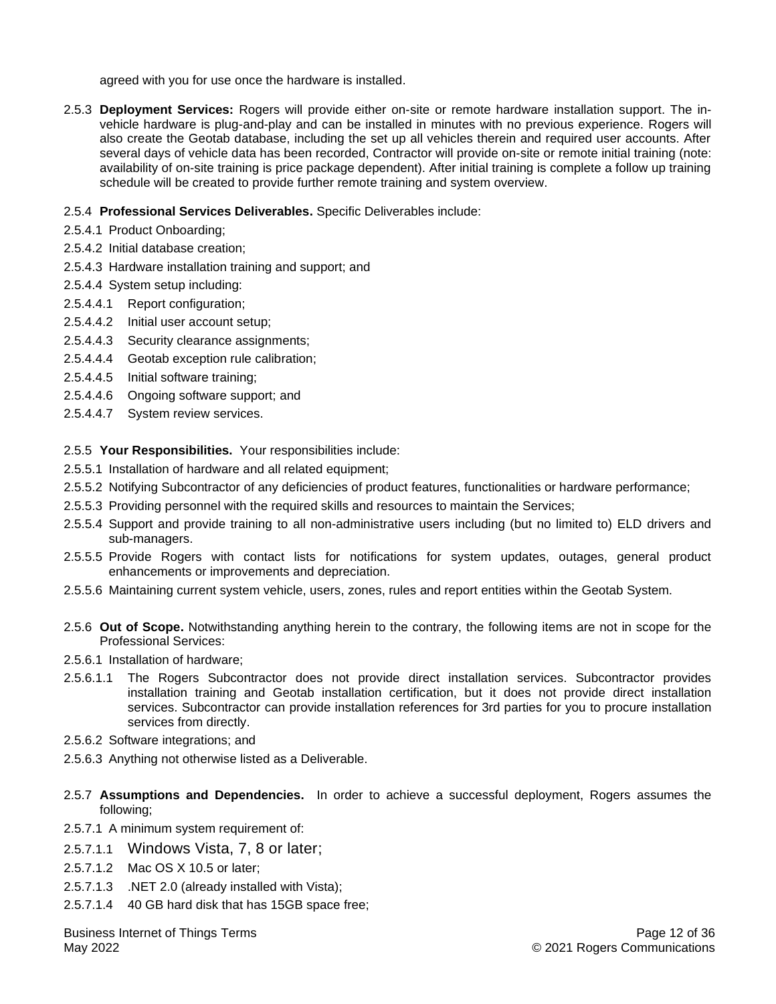agreed with you for use once the hardware is installed.

2.5.3 **Deployment Services:** Rogers will provide either on-site or remote hardware installation support. The invehicle hardware is plug-and-play and can be installed in minutes with no previous experience. Rogers will also create the Geotab database, including the set up all vehicles therein and required user accounts. After several days of vehicle data has been recorded, Contractor will provide on-site or remote initial training (note: availability of on-site training is price package dependent). After initial training is complete a follow up training schedule will be created to provide further remote training and system overview.

#### 2.5.4 **Professional Services Deliverables.** Specific Deliverables include:

- 2.5.4.1 Product Onboarding;
- 2.5.4.2 Initial database creation;
- 2.5.4.3 Hardware installation training and support; and
- 2.5.4.4 System setup including:
- 2.5.4.4.1 Report configuration;
- 2.5.4.4.2 Initial user account setup;
- 2.5.4.4.3 Security clearance assignments;
- 2.5.4.4.4 Geotab exception rule calibration;
- 2.5.4.4.5 Initial software training;
- 2.5.4.4.6 Ongoing software support; and
- 2.5.4.4.7 System review services.
- 2.5.5 **Your Responsibilities.** Your responsibilities include:
- 2.5.5.1 Installation of hardware and all related equipment;
- 2.5.5.2 Notifying Subcontractor of any deficiencies of product features, functionalities or hardware performance;
- 2.5.5.3 Providing personnel with the required skills and resources to maintain the Services;
- 2.5.5.4 Support and provide training to all non-administrative users including (but no limited to) ELD drivers and sub-managers.
- 2.5.5.5 Provide Rogers with contact lists for notifications for system updates, outages, general product enhancements or improvements and depreciation.
- 2.5.5.6 Maintaining current system vehicle, users, zones, rules and report entities within the Geotab System.
- 2.5.6 **Out of Scope.** Notwithstanding anything herein to the contrary, the following items are not in scope for the Professional Services:
- 2.5.6.1 Installation of hardware;
- 2.5.6.1.1 The Rogers Subcontractor does not provide direct installation services. Subcontractor provides installation training and Geotab installation certification, but it does not provide direct installation services. Subcontractor can provide installation references for 3rd parties for you to procure installation services from directly.
- 2.5.6.2 Software integrations; and
- 2.5.6.3 Anything not otherwise listed as a Deliverable.
- 2.5.7 **Assumptions and Dependencies.** In order to achieve a successful deployment, Rogers assumes the following;
- 2.5.7.1 A minimum system requirement of:
- 2.5.7.1.1 Windows Vista, 7, 8 or later;
- 2.5.7.1.2 Mac OS X 10.5 or later;
- 2.5.7.1.3 .NET 2.0 (already installed with Vista);
- 2.5.7.1.4 40 GB hard disk that has 15GB space free;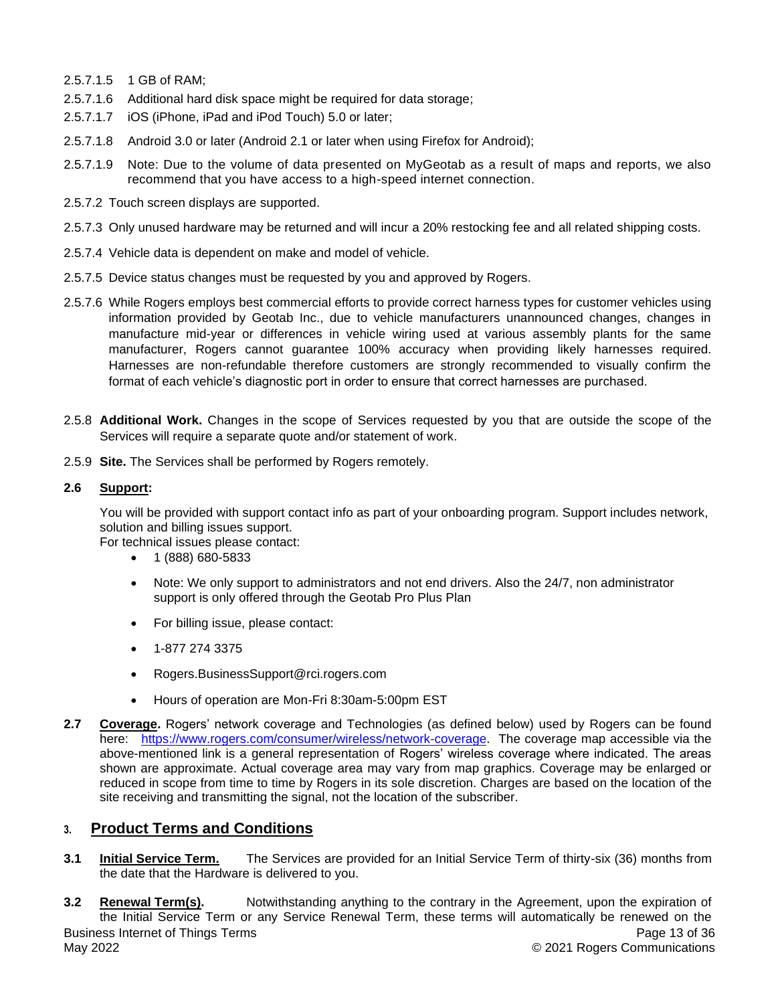- 2.5.7.1.5 1 GB of RAM;
- 2.5.7.1.6 Additional hard disk space might be required for data storage;
- 2.5.7.1.7 iOS (iPhone, iPad and iPod Touch) 5.0 or later;
- 2.5.7.1.8 Android 3.0 or later (Android 2.1 or later when using Firefox for Android);
- 2.5.7.1.9 Note: Due to the volume of data presented on MyGeotab as a result of maps and reports, we also recommend that you have access to a high-speed internet connection.
- 2.5.7.2 Touch screen displays are supported.
- 2.5.7.3 Only unused hardware may be returned and will incur a 20% restocking fee and all related shipping costs.
- 2.5.7.4 Vehicle data is dependent on make and model of vehicle.
- 2.5.7.5 Device status changes must be requested by you and approved by Rogers.
- 2.5.7.6 While Rogers employs best commercial efforts to provide correct harness types for customer vehicles using information provided by Geotab Inc., due to vehicle manufacturers unannounced changes, changes in manufacture mid-year or differences in vehicle wiring used at various assembly plants for the same manufacturer, Rogers cannot guarantee 100% accuracy when providing likely harnesses required. Harnesses are non-refundable therefore customers are strongly recommended to visually confirm the format of each vehicle's diagnostic port in order to ensure that correct harnesses are purchased.
- 2.5.8 **Additional Work.** Changes in the scope of Services requested by you that are outside the scope of the Services will require a separate quote and/or statement of work.
- 2.5.9 **Site.** The Services shall be performed by Rogers remotely.

# **2.6 Support:**

You will be provided with support contact info as part of your onboarding program. Support includes network, solution and billing issues support.

For technical issues please contact:

- 1 (888) 680-5833
- Note: We only support to administrators and not end drivers. Also the 24/7, non administrator support is only offered through the Geotab Pro Plus Plan
- For billing issue, please contact:
- 1-877 274 3375
- Rogers.BusinessSupport@rci.rogers.com
- Hours of operation are Mon-Fri 8:30am-5:00pm EST
- **2.7 Coverage.** Rogers' network coverage and Technologies (as defined below) used by Rogers can be found here: [https://www.rogers.com/consumer/wireless/network-coverage.](https://www.rogers.com/consumer/wireless/network-coverage) The coverage map accessible via the above-mentioned link is a general representation of Rogers' wireless coverage where indicated. The areas shown are approximate. Actual coverage area may vary from map graphics. Coverage may be enlarged or reduced in scope from time to time by Rogers in its sole discretion. Charges are based on the location of the site receiving and transmitting the signal, not the location of the subscriber.

# **3. Product Terms and Conditions**

**3.1 Initial Service Term.** The Services are provided for an Initial Service Term of thirty-six (36) months from the date that the Hardware is delivered to you.

Business Internet of Things Terms May 2022 Page 13 of 36 © 2021 Rogers Communications **3.2 Renewal Term(s).** Notwithstanding anything to the contrary in the Agreement, upon the expiration of the Initial Service Term or any Service Renewal Term, these terms will automatically be renewed on the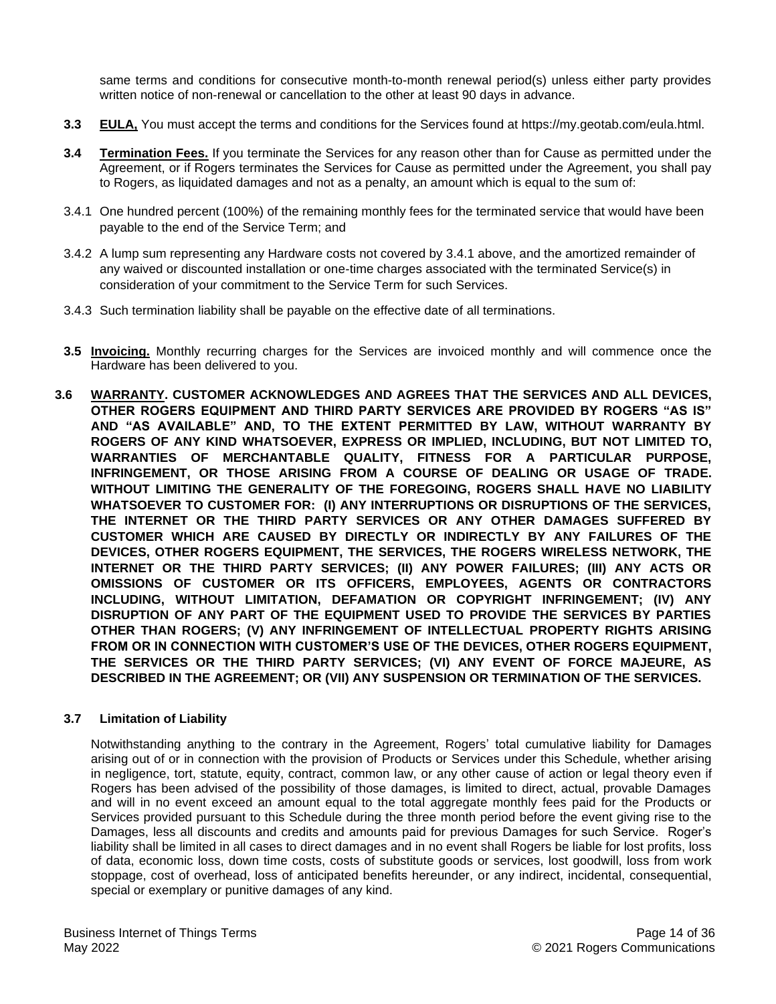same terms and conditions for consecutive month-to-month renewal period(s) unless either party provides written notice of non-renewal or cancellation to the other at least 90 days in advance.

- **3.3 EULA,** You must accept the terms and conditions for the Services found at https://my.geotab.com/eula.html.
- **3.4 Termination Fees.** If you terminate the Services for any reason other than for Cause as permitted under the Agreement, or if Rogers terminates the Services for Cause as permitted under the Agreement, you shall pay to Rogers, as liquidated damages and not as a penalty, an amount which is equal to the sum of:
- 3.4.1 One hundred percent (100%) of the remaining monthly fees for the terminated service that would have been payable to the end of the Service Term; and
- 3.4.2 A lump sum representing any Hardware costs not covered by 3.4.1 above, and the amortized remainder of any waived or discounted installation or one-time charges associated with the terminated Service(s) in consideration of your commitment to the Service Term for such Services.
- 3.4.3 Such termination liability shall be payable on the effective date of all terminations.
- **3.5 Invoicing.** Monthly recurring charges for the Services are invoiced monthly and will commence once the Hardware has been delivered to you.
- **3.6 WARRANTY. CUSTOMER ACKNOWLEDGES AND AGREES THAT THE SERVICES AND ALL DEVICES, OTHER ROGERS EQUIPMENT AND THIRD PARTY SERVICES ARE PROVIDED BY ROGERS "AS IS" AND "AS AVAILABLE" AND, TO THE EXTENT PERMITTED BY LAW, WITHOUT WARRANTY BY ROGERS OF ANY KIND WHATSOEVER, EXPRESS OR IMPLIED, INCLUDING, BUT NOT LIMITED TO, WARRANTIES OF MERCHANTABLE QUALITY, FITNESS FOR A PARTICULAR PURPOSE, INFRINGEMENT, OR THOSE ARISING FROM A COURSE OF DEALING OR USAGE OF TRADE. WITHOUT LIMITING THE GENERALITY OF THE FOREGOING, ROGERS SHALL HAVE NO LIABILITY WHATSOEVER TO CUSTOMER FOR: (I) ANY INTERRUPTIONS OR DISRUPTIONS OF THE SERVICES, THE INTERNET OR THE THIRD PARTY SERVICES OR ANY OTHER DAMAGES SUFFERED BY CUSTOMER WHICH ARE CAUSED BY DIRECTLY OR INDIRECTLY BY ANY FAILURES OF THE DEVICES, OTHER ROGERS EQUIPMENT, THE SERVICES, THE ROGERS WIRELESS NETWORK, THE INTERNET OR THE THIRD PARTY SERVICES; (II) ANY POWER FAILURES; (III) ANY ACTS OR OMISSIONS OF CUSTOMER OR ITS OFFICERS, EMPLOYEES, AGENTS OR CONTRACTORS INCLUDING, WITHOUT LIMITATION, DEFAMATION OR COPYRIGHT INFRINGEMENT; (IV) ANY DISRUPTION OF ANY PART OF THE EQUIPMENT USED TO PROVIDE THE SERVICES BY PARTIES OTHER THAN ROGERS; (V) ANY INFRINGEMENT OF INTELLECTUAL PROPERTY RIGHTS ARISING FROM OR IN CONNECTION WITH CUSTOMER'S USE OF THE DEVICES, OTHER ROGERS EQUIPMENT, THE SERVICES OR THE THIRD PARTY SERVICES; (VI) ANY EVENT OF FORCE MAJEURE, AS DESCRIBED IN THE AGREEMENT; OR (VII) ANY SUSPENSION OR TERMINATION OF THE SERVICES.**

# **3.7 Limitation of Liability**

Notwithstanding anything to the contrary in the Agreement, Rogers' total cumulative liability for Damages arising out of or in connection with the provision of Products or Services under this Schedule, whether arising in negligence, tort, statute, equity, contract, common law, or any other cause of action or legal theory even if Rogers has been advised of the possibility of those damages, is limited to direct, actual, provable Damages and will in no event exceed an amount equal to the total aggregate monthly fees paid for the Products or Services provided pursuant to this Schedule during the three month period before the event giving rise to the Damages, less all discounts and credits and amounts paid for previous Damages for such Service. Roger's liability shall be limited in all cases to direct damages and in no event shall Rogers be liable for lost profits, loss of data, economic loss, down time costs, costs of substitute goods or services, lost goodwill, loss from work stoppage, cost of overhead, loss of anticipated benefits hereunder, or any indirect, incidental, consequential, special or exemplary or punitive damages of any kind.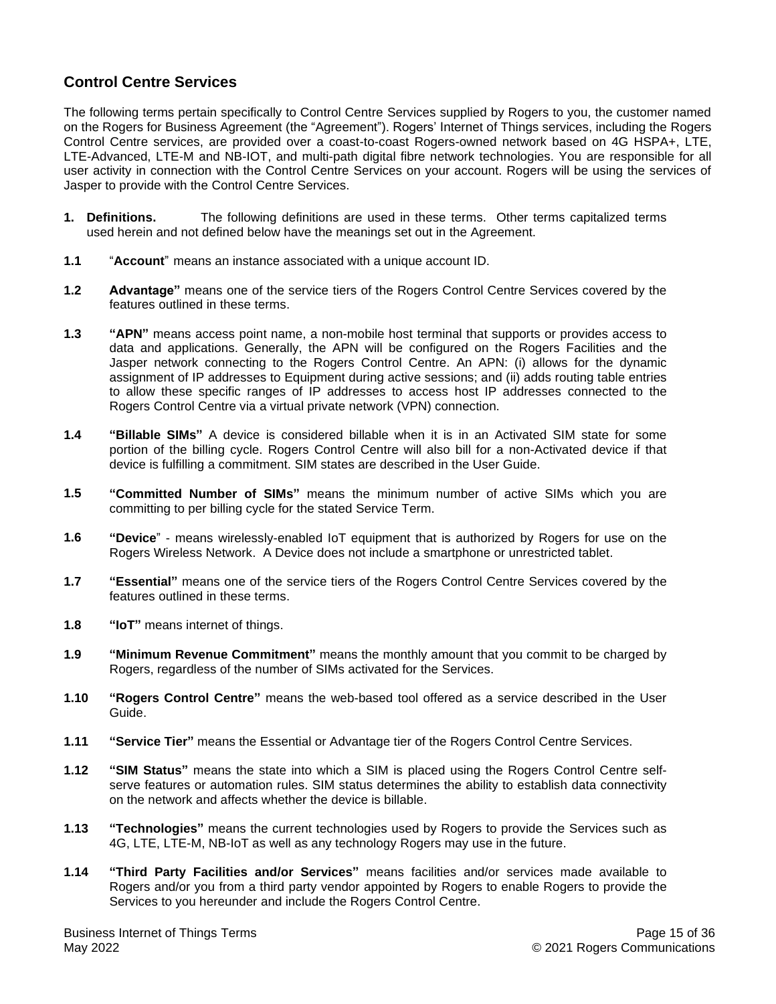# <span id="page-14-0"></span>**Control Centre Services**

The following terms pertain specifically to Control Centre Services supplied by Rogers to you, the customer named on the Rogers for Business Agreement (the "Agreement"). Rogers' Internet of Things services, including the Rogers Control Centre services, are provided over a coast-to-coast Rogers-owned network based on 4G HSPA+, LTE, LTE-Advanced, LTE-M and NB-IOT, and multi-path digital fibre network technologies. You are responsible for all user activity in connection with the Control Centre Services on your account. Rogers will be using the services of Jasper to provide with the Control Centre Services.

- **1. Definitions.** The following definitions are used in these terms. Other terms capitalized terms used herein and not defined below have the meanings set out in the Agreement.
- **1.1** "**Account**" means an instance associated with a unique account ID.
- **1.2 Advantage"** means one of the service tiers of the Rogers Control Centre Services covered by the features outlined in these terms.
- **1.3 "APN"** means access point name, a non-mobile host terminal that supports or provides access to data and applications. Generally, the APN will be configured on the Rogers Facilities and the Jasper network connecting to the Rogers Control Centre. An APN: (i) allows for the dynamic assignment of IP addresses to Equipment during active sessions; and (ii) adds routing table entries to allow these specific ranges of IP addresses to access host IP addresses connected to the Rogers Control Centre via a virtual private network (VPN) connection.
- **1.4 "Billable SIMs"** A device is considered billable when it is in an Activated SIM state for some portion of the billing cycle. Rogers Control Centre will also bill for a non-Activated device if that device is fulfilling a commitment. SIM states are described in the User Guide.
- **1.5 "Committed Number of SIMs"** means the minimum number of active SIMs which you are committing to per billing cycle for the stated Service Term.
- **1.6 "Device**" means wirelessly-enabled IoT equipment that is authorized by Rogers for use on the Rogers Wireless Network. A Device does not include a smartphone or unrestricted tablet.
- **1.7 "Essential"** means one of the service tiers of the Rogers Control Centre Services covered by the features outlined in these terms.
- **1.8 "IoT"** means internet of things.
- **1.9 "Minimum Revenue Commitment"** means the monthly amount that you commit to be charged by Rogers, regardless of the number of SIMs activated for the Services.
- **1.10 "Rogers Control Centre"** means the web-based tool offered as a service described in the User Guide.
- **1.11 "Service Tier"** means the Essential or Advantage tier of the Rogers Control Centre Services.
- **1.12 "SIM Status"** means the state into which a SIM is placed using the Rogers Control Centre selfserve features or automation rules. SIM status determines the ability to establish data connectivity on the network and affects whether the device is billable.
- **1.13 "Technologies"** means the current technologies used by Rogers to provide the Services such as 4G, LTE, LTE-M, NB-IoT as well as any technology Rogers may use in the future.
- **1.14 "Third Party Facilities and/or Services"** means facilities and/or services made available to Rogers and/or you from a third party vendor appointed by Rogers to enable Rogers to provide the Services to you hereunder and include the Rogers Control Centre.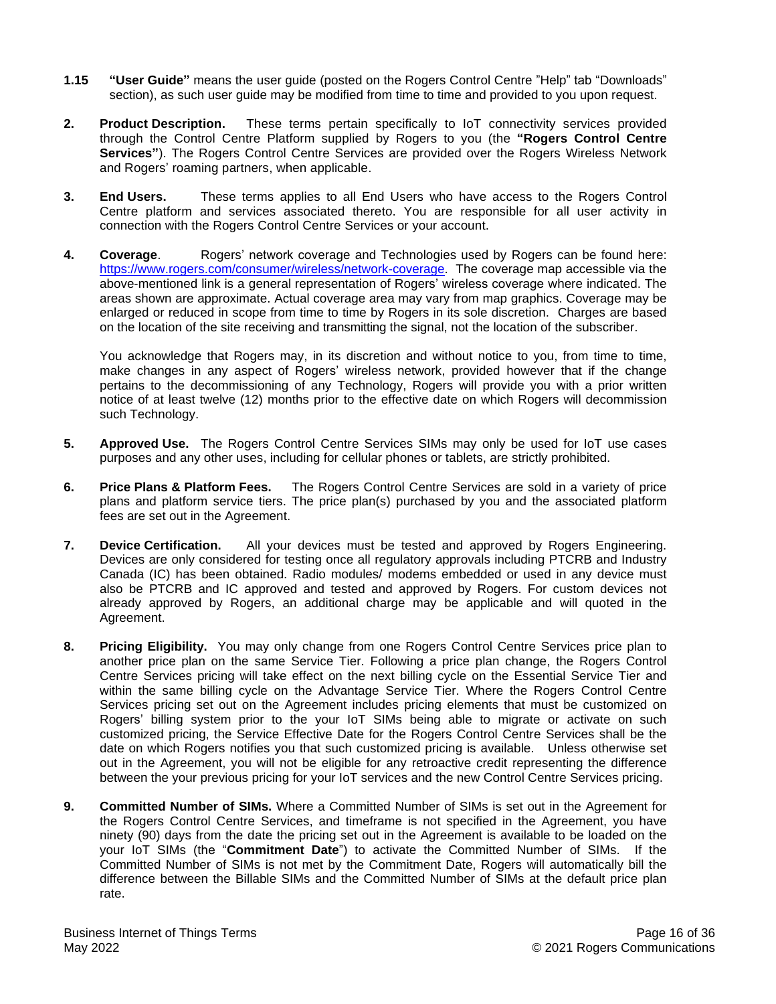- **1.15 "User Guide"** means the user guide (posted on the Rogers Control Centre "Help" tab "Downloads" section), as such user guide may be modified from time to time and provided to you upon request.
- **2. Product Description.** These terms pertain specifically to IoT connectivity services provided through the Control Centre Platform supplied by Rogers to you (the **"Rogers Control Centre Services"**). The Rogers Control Centre Services are provided over the Rogers Wireless Network and Rogers' roaming partners, when applicable.
- **3. End Users.** These terms applies to all End Users who have access to the Rogers Control Centre platform and services associated thereto. You are responsible for all user activity in connection with the Rogers Control Centre Services or your account.
- **4. Coverage**. Rogers' network coverage and Technologies used by Rogers can be found here: [https://www.rogers.com/consumer/wireless/network-coverage.](https://www.rogers.com/consumer/wireless/network-coverage) The coverage map accessible via the above-mentioned link is a general representation of Rogers' wireless coverage where indicated. The areas shown are approximate. Actual coverage area may vary from map graphics. Coverage may be enlarged or reduced in scope from time to time by Rogers in its sole discretion. Charges are based on the location of the site receiving and transmitting the signal, not the location of the subscriber.

You acknowledge that Rogers may, in its discretion and without notice to you, from time to time, make changes in any aspect of Rogers' wireless network, provided however that if the change pertains to the decommissioning of any Technology, Rogers will provide you with a prior written notice of at least twelve (12) months prior to the effective date on which Rogers will decommission such Technology.

- **5. Approved Use.** The Rogers Control Centre Services SIMs may only be used for IoT use cases purposes and any other uses, including for cellular phones or tablets, are strictly prohibited.
- **6. Price Plans & Platform Fees.** The Rogers Control Centre Services are sold in a variety of price plans and platform service tiers. The price plan(s) purchased by you and the associated platform fees are set out in the Agreement.
- **7. Device Certification.** All your devices must be tested and approved by Rogers Engineering. Devices are only considered for testing once all regulatory approvals including PTCRB and Industry Canada (IC) has been obtained. Radio modules/ modems embedded or used in any device must also be PTCRB and IC approved and tested and approved by Rogers. For custom devices not already approved by Rogers, an additional charge may be applicable and will quoted in the Agreement.
- **8. Pricing Eligibility.** You may only change from one Rogers Control Centre Services price plan to another price plan on the same Service Tier. Following a price plan change, the Rogers Control Centre Services pricing will take effect on the next billing cycle on the Essential Service Tier and within the same billing cycle on the Advantage Service Tier. Where the Rogers Control Centre Services pricing set out on the Agreement includes pricing elements that must be customized on Rogers' billing system prior to the your IoT SIMs being able to migrate or activate on such customized pricing, the Service Effective Date for the Rogers Control Centre Services shall be the date on which Rogers notifies you that such customized pricing is available. Unless otherwise set out in the Agreement, you will not be eligible for any retroactive credit representing the difference between the your previous pricing for your IoT services and the new Control Centre Services pricing.
- **9. Committed Number of SIMs.** Where a Committed Number of SIMs is set out in the Agreement for the Rogers Control Centre Services, and timeframe is not specified in the Agreement, you have ninety (90) days from the date the pricing set out in the Agreement is available to be loaded on the your IoT SIMs (the "**Commitment Date**") to activate the Committed Number of SIMs. If the Committed Number of SIMs is not met by the Commitment Date, Rogers will automatically bill the difference between the Billable SIMs and the Committed Number of SIMs at the default price plan rate.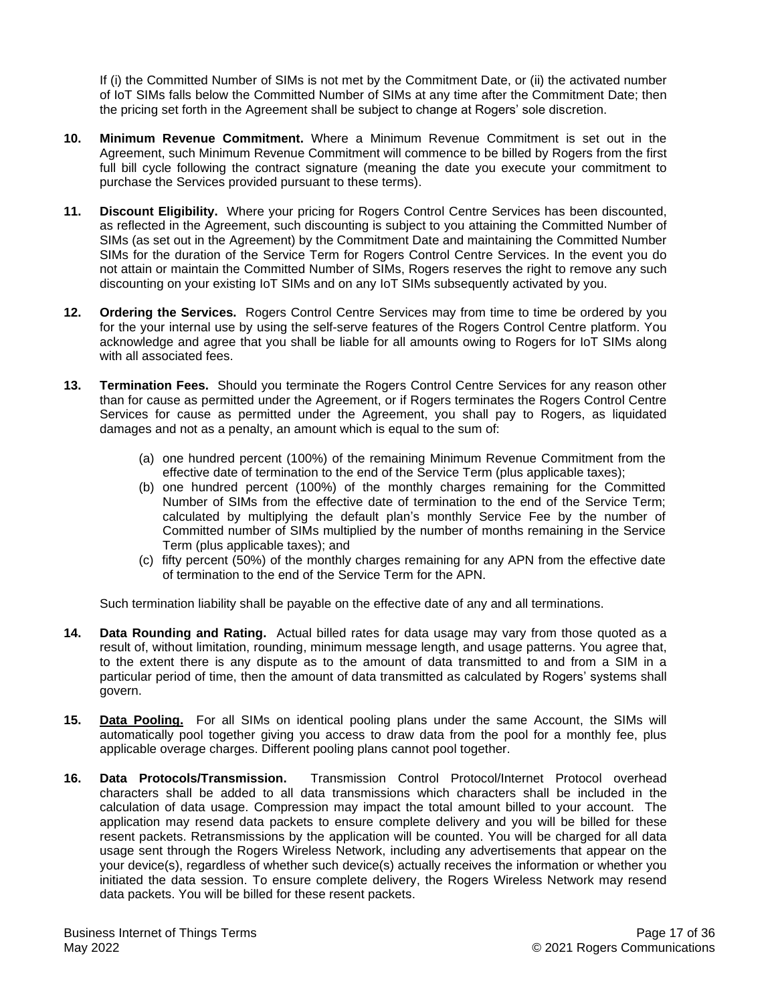If (i) the Committed Number of SIMs is not met by the Commitment Date, or (ii) the activated number of IoT SIMs falls below the Committed Number of SIMs at any time after the Commitment Date; then the pricing set forth in the Agreement shall be subject to change at Rogers' sole discretion.

- **10. Minimum Revenue Commitment.** Where a Minimum Revenue Commitment is set out in the Agreement, such Minimum Revenue Commitment will commence to be billed by Rogers from the first full bill cycle following the contract signature (meaning the date you execute your commitment to purchase the Services provided pursuant to these terms).
- **11. Discount Eligibility.** Where your pricing for Rogers Control Centre Services has been discounted, as reflected in the Agreement, such discounting is subject to you attaining the Committed Number of SIMs (as set out in the Agreement) by the Commitment Date and maintaining the Committed Number SIMs for the duration of the Service Term for Rogers Control Centre Services. In the event you do not attain or maintain the Committed Number of SIMs, Rogers reserves the right to remove any such discounting on your existing IoT SIMs and on any IoT SIMs subsequently activated by you.
- **12. Ordering the Services.** Rogers Control Centre Services may from time to time be ordered by you for the your internal use by using the self-serve features of the Rogers Control Centre platform. You acknowledge and agree that you shall be liable for all amounts owing to Rogers for IoT SIMs along with all associated fees.
- **13. Termination Fees.** Should you terminate the Rogers Control Centre Services for any reason other than for cause as permitted under the Agreement, or if Rogers terminates the Rogers Control Centre Services for cause as permitted under the Agreement, you shall pay to Rogers, as liquidated damages and not as a penalty, an amount which is equal to the sum of:
	- (a) one hundred percent (100%) of the remaining Minimum Revenue Commitment from the effective date of termination to the end of the Service Term (plus applicable taxes);
	- (b) one hundred percent (100%) of the monthly charges remaining for the Committed Number of SIMs from the effective date of termination to the end of the Service Term; calculated by multiplying the default plan's monthly Service Fee by the number of Committed number of SIMs multiplied by the number of months remaining in the Service Term (plus applicable taxes); and
	- (c) fifty percent (50%) of the monthly charges remaining for any APN from the effective date of termination to the end of the Service Term for the APN.

Such termination liability shall be payable on the effective date of any and all terminations.

- **14. Data Rounding and Rating.** Actual billed rates for data usage may vary from those quoted as a result of, without limitation, rounding, minimum message length, and usage patterns. You agree that, to the extent there is any dispute as to the amount of data transmitted to and from a SIM in a particular period of time, then the amount of data transmitted as calculated by Rogers' systems shall govern.
- **15. Data Pooling.** For all SIMs on identical pooling plans under the same Account, the SIMs will automatically pool together giving you access to draw data from the pool for a monthly fee, plus applicable overage charges. Different pooling plans cannot pool together.
- **16. Data Protocols/Transmission.** Transmission Control Protocol/Internet Protocol overhead characters shall be added to all data transmissions which characters shall be included in the calculation of data usage. Compression may impact the total amount billed to your account. The application may resend data packets to ensure complete delivery and you will be billed for these resent packets. Retransmissions by the application will be counted. You will be charged for all data usage sent through the Rogers Wireless Network, including any advertisements that appear on the your device(s), regardless of whether such device(s) actually receives the information or whether you initiated the data session. To ensure complete delivery, the Rogers Wireless Network may resend data packets. You will be billed for these resent packets.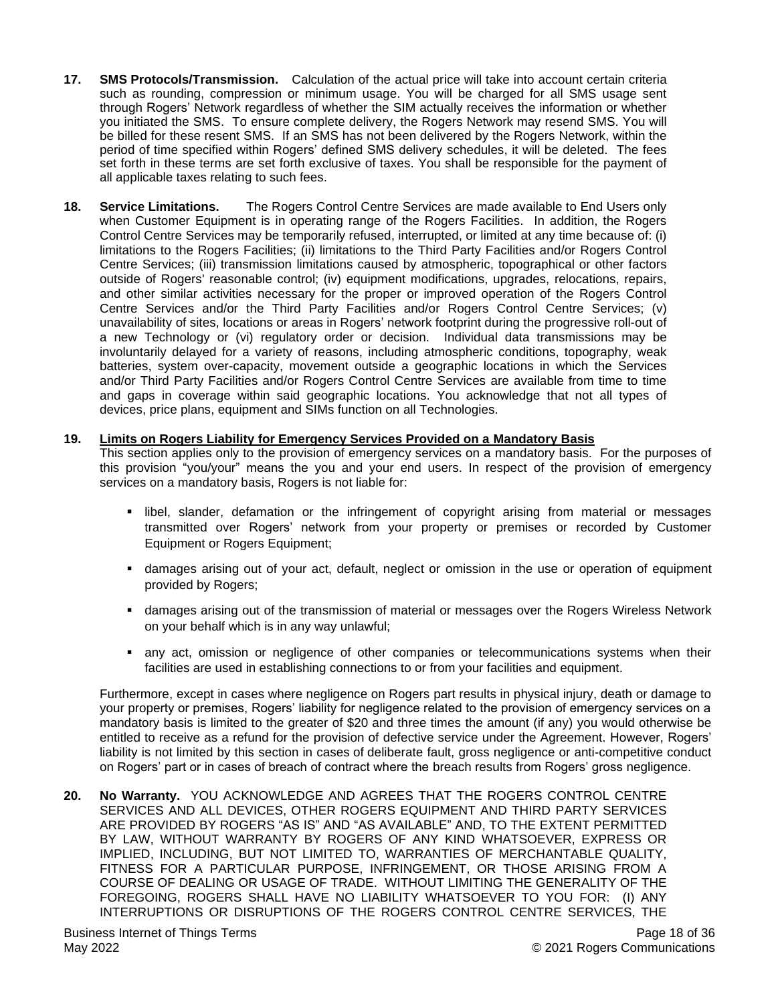- **17. SMS Protocols/Transmission.** Calculation of the actual price will take into account certain criteria such as rounding, compression or minimum usage. You will be charged for all SMS usage sent through Rogers' Network regardless of whether the SIM actually receives the information or whether you initiated the SMS. To ensure complete delivery, the Rogers Network may resend SMS. You will be billed for these resent SMS. If an SMS has not been delivered by the Rogers Network, within the period of time specified within Rogers' defined SMS delivery schedules, it will be deleted.The fees set forth in these terms are set forth exclusive of taxes. You shall be responsible for the payment of all applicable taxes relating to such fees.
- **18. Service Limitations.** The Rogers Control Centre Services are made available to End Users only when Customer Equipment is in operating range of the Rogers Facilities. In addition, the Rogers Control Centre Services may be temporarily refused, interrupted, or limited at any time because of: (i) limitations to the Rogers Facilities; (ii) limitations to the Third Party Facilities and/or Rogers Control Centre Services; (iii) transmission limitations caused by atmospheric, topographical or other factors outside of Rogers' reasonable control; (iv) equipment modifications, upgrades, relocations, repairs, and other similar activities necessary for the proper or improved operation of the Rogers Control Centre Services and/or the Third Party Facilities and/or Rogers Control Centre Services; (v) unavailability of sites, locations or areas in Rogers' network footprint during the progressive roll-out of a new Technology or (vi) regulatory order or decision. Individual data transmissions may be involuntarily delayed for a variety of reasons, including atmospheric conditions, topography, weak batteries, system over-capacity, movement outside a geographic locations in which the Services and/or Third Party Facilities and/or Rogers Control Centre Services are available from time to time and gaps in coverage within said geographic locations. You acknowledge that not all types of devices, price plans, equipment and SIMs function on all Technologies.

#### **19. Limits on Rogers Liability for Emergency Services Provided on a Mandatory Basis**

This section applies only to the provision of emergency services on a mandatory basis. For the purposes of this provision "you/your" means the you and your end users. In respect of the provision of emergency services on a mandatory basis, Rogers is not liable for:

- **.** libel, slander, defamation or the infringement of copyright arising from material or messages transmitted over Rogers' network from your property or premises or recorded by Customer Equipment or Rogers Equipment;
- **Examber 1** damages arising out of your act, default, neglect or omission in the use or operation of equipment provided by Rogers;
- damages arising out of the transmission of material or messages over the Rogers Wireless Network on your behalf which is in any way unlawful;
- **E** any act, omission or negligence of other companies or telecommunications systems when their facilities are used in establishing connections to or from your facilities and equipment.

Furthermore, except in cases where negligence on Rogers part results in physical injury, death or damage to your property or premises, Rogers' liability for negligence related to the provision of emergency services on a mandatory basis is limited to the greater of \$20 and three times the amount (if any) you would otherwise be entitled to receive as a refund for the provision of defective service under the Agreement. However, Rogers' liability is not limited by this section in cases of deliberate fault, gross negligence or anti-competitive conduct on Rogers' part or in cases of breach of contract where the breach results from Rogers' gross negligence.

**20. No Warranty.** YOU ACKNOWLEDGE AND AGREES THAT THE ROGERS CONTROL CENTRE SERVICES AND ALL DEVICES, OTHER ROGERS EQUIPMENT AND THIRD PARTY SERVICES ARE PROVIDED BY ROGERS "AS IS" AND "AS AVAILABLE" AND, TO THE EXTENT PERMITTED BY LAW, WITHOUT WARRANTY BY ROGERS OF ANY KIND WHATSOEVER, EXPRESS OR IMPLIED, INCLUDING, BUT NOT LIMITED TO, WARRANTIES OF MERCHANTABLE QUALITY, FITNESS FOR A PARTICULAR PURPOSE, INFRINGEMENT, OR THOSE ARISING FROM A COURSE OF DEALING OR USAGE OF TRADE. WITHOUT LIMITING THE GENERALITY OF THE FOREGOING, ROGERS SHALL HAVE NO LIABILITY WHATSOEVER TO YOU FOR: (I) ANY INTERRUPTIONS OR DISRUPTIONS OF THE ROGERS CONTROL CENTRE SERVICES, THE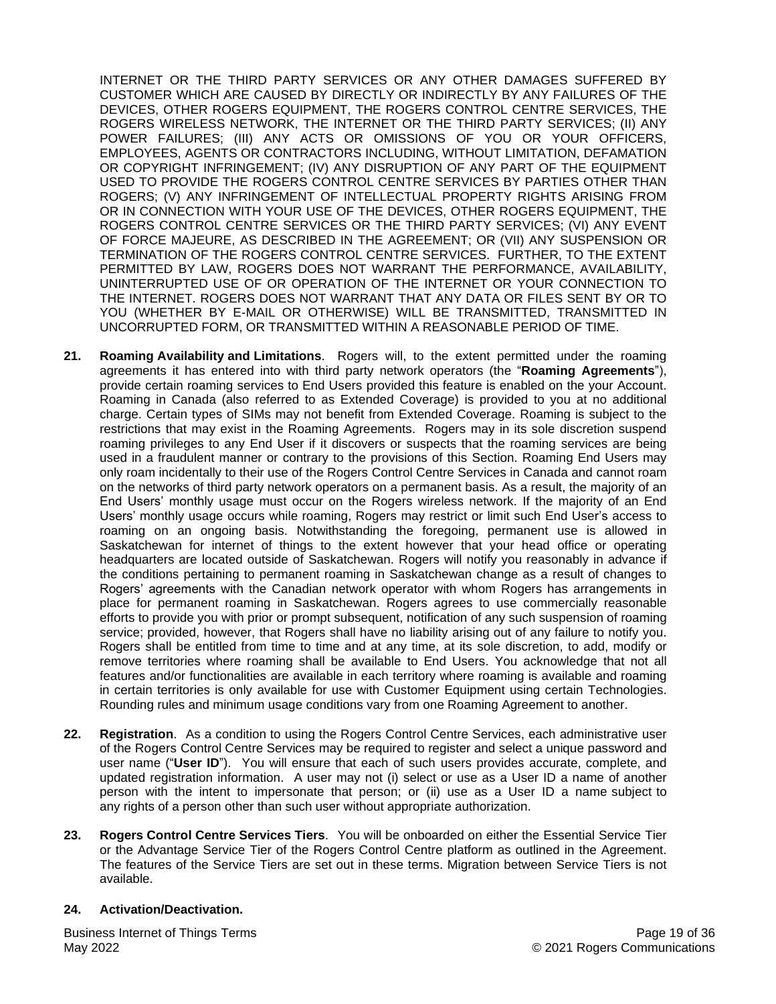INTERNET OR THE THIRD PARTY SERVICES OR ANY OTHER DAMAGES SUFFERED BY CUSTOMER WHICH ARE CAUSED BY DIRECTLY OR INDIRECTLY BY ANY FAILURES OF THE DEVICES, OTHER ROGERS EQUIPMENT, THE ROGERS CONTROL CENTRE SERVICES, THE ROGERS WIRELESS NETWORK, THE INTERNET OR THE THIRD PARTY SERVICES; (II) ANY POWER FAILURES; (III) ANY ACTS OR OMISSIONS OF YOU OR YOUR OFFICERS, EMPLOYEES, AGENTS OR CONTRACTORS INCLUDING, WITHOUT LIMITATION, DEFAMATION OR COPYRIGHT INFRINGEMENT; (IV) ANY DISRUPTION OF ANY PART OF THE EQUIPMENT USED TO PROVIDE THE ROGERS CONTROL CENTRE SERVICES BY PARTIES OTHER THAN ROGERS; (V) ANY INFRINGEMENT OF INTELLECTUAL PROPERTY RIGHTS ARISING FROM OR IN CONNECTION WITH YOUR USE OF THE DEVICES, OTHER ROGERS EQUIPMENT, THE ROGERS CONTROL CENTRE SERVICES OR THE THIRD PARTY SERVICES; (VI) ANY EVENT OF FORCE MAJEURE, AS DESCRIBED IN THE AGREEMENT; OR (VII) ANY SUSPENSION OR TERMINATION OF THE ROGERS CONTROL CENTRE SERVICES. FURTHER, TO THE EXTENT PERMITTED BY LAW, ROGERS DOES NOT WARRANT THE PERFORMANCE, AVAILABILITY, UNINTERRUPTED USE OF OR OPERATION OF THE INTERNET OR YOUR CONNECTION TO THE INTERNET. ROGERS DOES NOT WARRANT THAT ANY DATA OR FILES SENT BY OR TO YOU (WHETHER BY E-MAIL OR OTHERWISE) WILL BE TRANSMITTED, TRANSMITTED IN UNCORRUPTED FORM, OR TRANSMITTED WITHIN A REASONABLE PERIOD OF TIME.

- **21. Roaming Availability and Limitations**. Rogers will, to the extent permitted under the roaming agreements it has entered into with third party network operators (the "**Roaming Agreements**"), provide certain roaming services to End Users provided this feature is enabled on the your Account. Roaming in Canada (also referred to as Extended Coverage) is provided to you at no additional charge. Certain types of SIMs may not benefit from Extended Coverage. Roaming is subject to the restrictions that may exist in the Roaming Agreements. Rogers may in its sole discretion suspend roaming privileges to any End User if it discovers or suspects that the roaming services are being used in a fraudulent manner or contrary to the provisions of this Section. Roaming End Users may only roam incidentally to their use of the Rogers Control Centre Services in Canada and cannot roam on the networks of third party network operators on a permanent basis. As a result, the majority of an End Users' monthly usage must occur on the Rogers wireless network. If the majority of an End Users' monthly usage occurs while roaming, Rogers may restrict or limit such End User's access to roaming on an ongoing basis. Notwithstanding the foregoing, permanent use is allowed in Saskatchewan for internet of things to the extent however that your head office or operating headquarters are located outside of Saskatchewan. Rogers will notify you reasonably in advance if the conditions pertaining to permanent roaming in Saskatchewan change as a result of changes to Rogers' agreements with the Canadian network operator with whom Rogers has arrangements in place for permanent roaming in Saskatchewan. Rogers agrees to use commercially reasonable efforts to provide you with prior or prompt subsequent, notification of any such suspension of roaming service; provided, however, that Rogers shall have no liability arising out of any failure to notify you. Rogers shall be entitled from time to time and at any time, at its sole discretion, to add, modify or remove territories where roaming shall be available to End Users. You acknowledge that not all features and/or functionalities are available in each territory where roaming is available and roaming in certain territories is only available for use with Customer Equipment using certain Technologies. Rounding rules and minimum usage conditions vary from one Roaming Agreement to another.
- **22. Registration**. As a condition to using the Rogers Control Centre Services, each administrative user of the Rogers Control Centre Services may be required to register and select a unique password and user name ("**User ID**"). You will ensure that each of such users provides accurate, complete, and updated registration information. A user may not (i) select or use as a User ID a name of another person with the intent to impersonate that person; or (ii) use as a User ID a name subject to any rights of a person other than such user without appropriate authorization.
- **23. Rogers Control Centre Services Tiers**. You will be onboarded on either the Essential Service Tier or the Advantage Service Tier of the Rogers Control Centre platform as outlined in the Agreement. The features of the Service Tiers are set out in these terms. Migration between Service Tiers is not available.

#### **24. Activation/Deactivation.**

Business Internet of Things Terms May 2022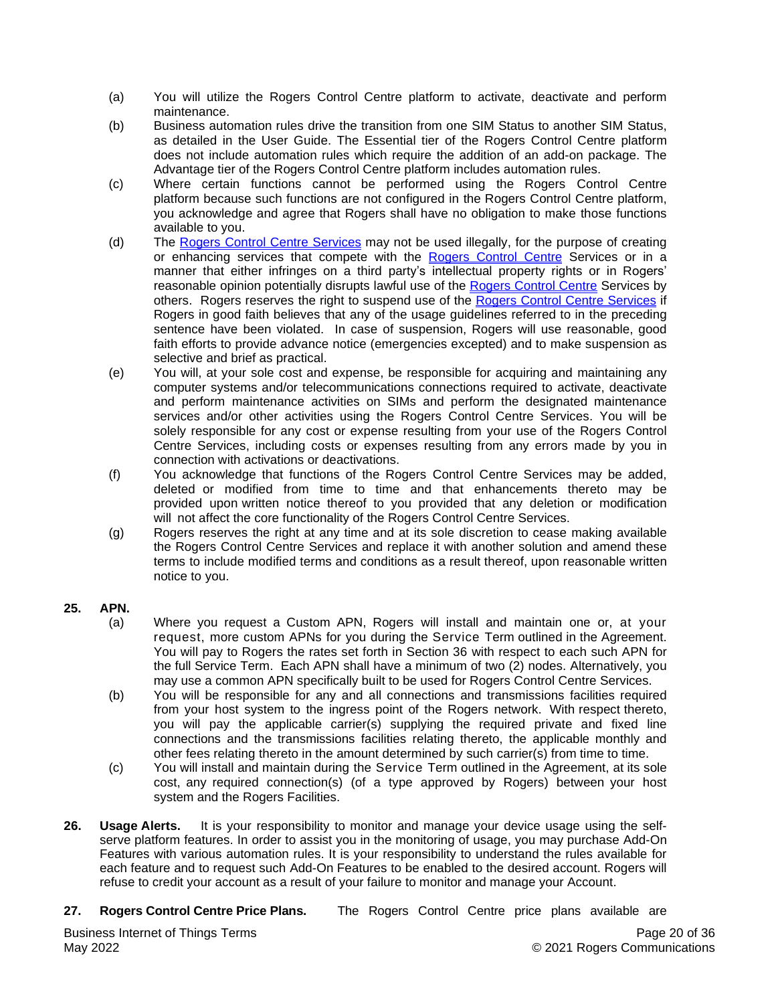- (a) You will utilize the Rogers Control Centre platform to activate, deactivate and perform maintenance.
- (b) Business automation rules drive the transition from one SIM Status to another SIM Status, as detailed in the User Guide. The Essential tier of the Rogers Control Centre platform does not include automation rules which require the addition of an add-on package. The Advantage tier of the Rogers Control Centre platform includes automation rules.
- (c) Where certain functions cannot be performed using the Rogers Control Centre platform because such functions are not configured in the Rogers Control Centre platform, you acknowledge and agree that Rogers shall have no obligation to make those functions available to you.
- (d) The Rogers Control Centre Services may not be used illegally, for the purpose of creating or enhancing services that compete with the Rogers Control Centre Services or in a manner that either infringes on a third party's intellectual property rights or in Rogers' reasonable opinion potentially disrupts lawful use of the Rogers Control Centre Services by others. Rogers reserves the right to suspend use of the Rogers Control Centre Services if Rogers in good faith believes that any of the usage guidelines referred to in the preceding sentence have been violated. In case of suspension, Rogers will use reasonable, good faith efforts to provide advance notice (emergencies excepted) and to make suspension as selective and brief as practical.
- (e) You will, at your sole cost and expense, be responsible for acquiring and maintaining any computer systems and/or telecommunications connections required to activate, deactivate and perform maintenance activities on SIMs and perform the designated maintenance services and/or other activities using the Rogers Control Centre Services. You will be solely responsible for any cost or expense resulting from your use of the Rogers Control Centre Services, including costs or expenses resulting from any errors made by you in connection with activations or deactivations.
- (f) You acknowledge that functions of the Rogers Control Centre Services may be added, deleted or modified from time to time and that enhancements thereto may be provided upon written notice thereof to you provided that any deletion or modification will not affect the core functionality of the Rogers Control Centre Services.
- (g) Rogers reserves the right at any time and at its sole discretion to cease making available the Rogers Control Centre Services and replace it with another solution and amend these terms to include modified terms and conditions as a result thereof, upon reasonable written notice to you.

# **25. APN.**

- (a) Where you request a Custom APN, Rogers will install and maintain one or, at your request, more custom APNs for you during the Service Term outlined in the Agreement. You will pay to Rogers the rates set forth in Section 36 with respect to each such APN for the full Service Term. Each APN shall have a minimum of two (2) nodes. Alternatively, you may use a common APN specifically built to be used for Rogers Control Centre Services.
- (b) You will be responsible for any and all connections and transmissions facilities required from your host system to the ingress point of the Rogers network. With respect thereto, you will pay the applicable carrier(s) supplying the required private and fixed line connections and the transmissions facilities relating thereto, the applicable monthly and other fees relating thereto in the amount determined by such carrier(s) from time to time.
- (c) You will install and maintain during the Service Term outlined in the Agreement, at its sole cost, any required connection(s) (of a type approved by Rogers) between your host system and the Rogers Facilities.
- **26. Usage Alerts.** It is your responsibility to monitor and manage your device usage using the selfserve platform features. In order to assist you in the monitoring of usage, you may purchase Add-On Features with various automation rules. It is your responsibility to understand the rules available for each feature and to request such Add-On Features to be enabled to the desired account. Rogers will refuse to credit your account as a result of your failure to monitor and manage your Account.
- **27. Rogers Control Centre Price Plans.** The Rogers Control Centre price plans available are

Business Internet of Things Terms May 2022

Page 20 of 36 © 2021 Rogers Communications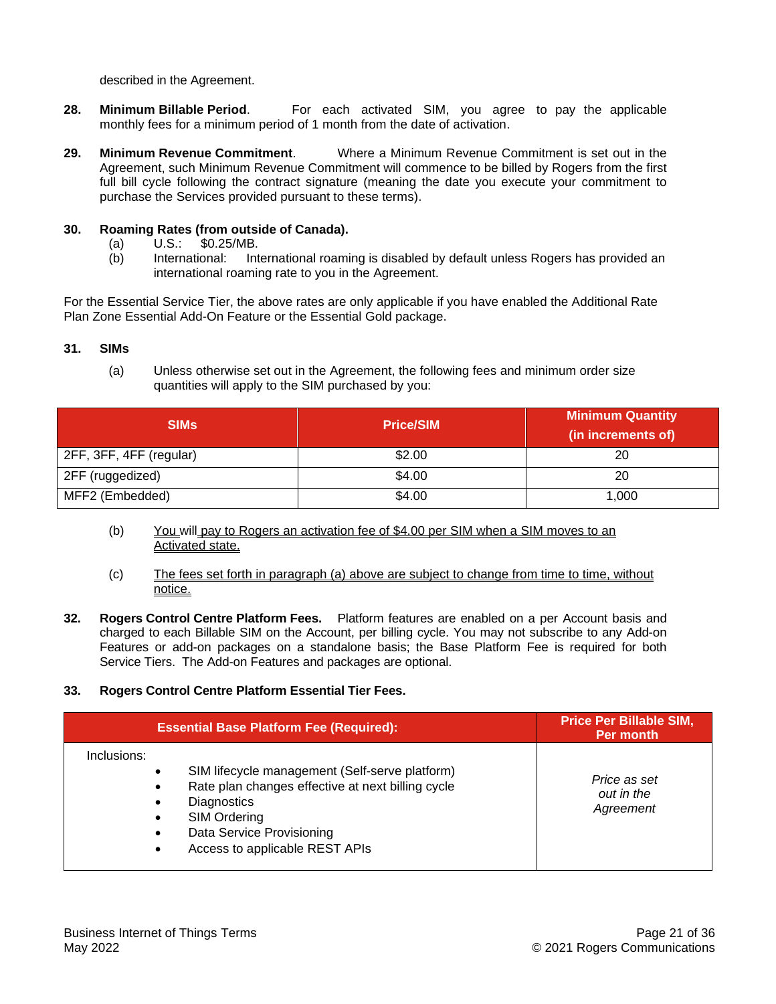described in the Agreement.

- **28. Minimum Billable Period**. For each activated SIM, you agree to pay the applicable monthly fees for a minimum period of 1 month from the date of activation.
- **29. Minimum Revenue Commitment**. Where a Minimum Revenue Commitment is set out in the Agreement, such Minimum Revenue Commitment will commence to be billed by Rogers from the first full bill cycle following the contract signature (meaning the date you execute your commitment to purchase the Services provided pursuant to these terms).

# **30. Roaming Rates (from outside of Canada).**

- (a) U.S.: \$0.25/MB.
- (b) International: International roaming is disabled by default unless Rogers has provided an international roaming rate to you in the Agreement.

For the Essential Service Tier, the above rates are only applicable if you have enabled the Additional Rate Plan Zone Essential Add-On Feature or the Essential Gold package.

# **31. SIMs**

(a) Unless otherwise set out in the Agreement, the following fees and minimum order size quantities will apply to the SIM purchased by you:

| <b>SIMS</b>             | <b>Price/SIM</b> | <b>Minimum Quantity</b><br>(in increments of) |
|-------------------------|------------------|-----------------------------------------------|
| 2FF, 3FF, 4FF (regular) | \$2.00           | 20                                            |
| 2FF (ruggedized)        | \$4.00           | 20                                            |
| MFF2 (Embedded)         | \$4.00           | 1,000                                         |

- (b) You will pay to Rogers an activation fee of \$4.00 per SIM when a SIM moves to an Activated state.
- (c) The fees set forth in paragraph (a) above are subject to change from time to time, without notice.
- **32. Rogers Control Centre Platform Fees.** Platform features are enabled on a per Account basis and charged to each Billable SIM on the Account, per billing cycle. You may not subscribe to any Add-on Features or add-on packages on a standalone basis; the Base Platform Fee is required for both Service Tiers. The Add-on Features and packages are optional.
- **33. Rogers Control Centre Platform Essential Tier Fees.**

| <b>Essential Base Platform Fee (Required):</b>                                                                                                                                                                          | <b>Price Per Billable SIM,</b><br>Per month |
|-------------------------------------------------------------------------------------------------------------------------------------------------------------------------------------------------------------------------|---------------------------------------------|
| Inclusions:<br>SIM lifecycle management (Self-serve platform)<br>Rate plan changes effective at next billing cycle<br><b>Diagnostics</b><br>SIM Ordering<br>Data Service Provisioning<br>Access to applicable REST APIs | Price as set<br>out in the<br>Agreement     |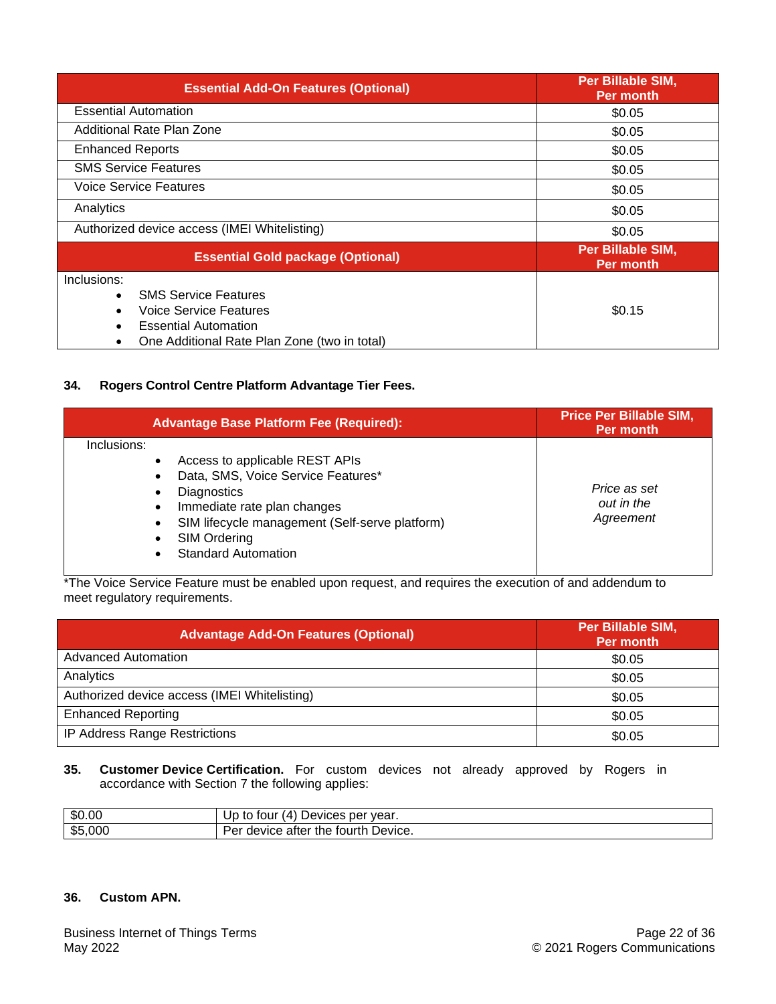| <b>Essential Add-On Features (Optional)</b>                                                                                                                      | <b>Per Billable SIM,</b><br><b>Per month</b> |
|------------------------------------------------------------------------------------------------------------------------------------------------------------------|----------------------------------------------|
| <b>Essential Automation</b>                                                                                                                                      | \$0.05                                       |
| Additional Rate Plan Zone                                                                                                                                        | \$0.05                                       |
| <b>Enhanced Reports</b>                                                                                                                                          | \$0.05                                       |
| <b>SMS Service Features</b>                                                                                                                                      | \$0.05                                       |
| <b>Voice Service Features</b>                                                                                                                                    | \$0.05                                       |
| Analytics                                                                                                                                                        | \$0.05                                       |
| Authorized device access (IMEI Whitelisting)                                                                                                                     | \$0.05                                       |
| <b>Essential Gold package (Optional)</b>                                                                                                                         | <b>Per Billable SIM,</b><br><b>Per month</b> |
| Inclusions:<br><b>SMS Service Features</b><br>$\bullet$<br>Voice Service Features<br><b>Essential Automation</b><br>One Additional Rate Plan Zone (two in total) | \$0.15                                       |

## **34. Rogers Control Centre Platform Advantage Tier Fees.**

| <b>Advantage Base Platform Fee (Required):</b>                                                                                                                                                                                                  | <b>Price Per Billable SIM,</b><br>Per month |
|-------------------------------------------------------------------------------------------------------------------------------------------------------------------------------------------------------------------------------------------------|---------------------------------------------|
| Inclusions:<br>Access to applicable REST APIs<br>Data, SMS, Voice Service Features*<br><b>Diagnostics</b><br>Immediate rate plan changes<br>SIM lifecycle management (Self-serve platform)<br><b>SIM Ordering</b><br><b>Standard Automation</b> | Price as set<br>out in the<br>Agreement     |

\*The Voice Service Feature must be enabled upon request, and requires the execution of and addendum to meet regulatory requirements.

| <b>Advantage Add-On Features (Optional)</b>  | <b>Per Billable SIM,</b><br>Per month |
|----------------------------------------------|---------------------------------------|
| <b>Advanced Automation</b>                   | \$0.05                                |
| Analytics                                    | \$0.05                                |
| Authorized device access (IMEI Whitelisting) | \$0.05                                |
| <b>Enhanced Reporting</b>                    | \$0.05                                |
| <b>IP Address Range Restrictions</b>         | \$0.05                                |

**35. Customer Device Certification.** For custom devices not already approved by Rogers in accordance with Section 7 the following applies:

| \$0.00  | Devices per year.<br>(4)<br>tour<br>to         |
|---------|------------------------------------------------|
| \$5,000 | fourth Device.<br>device<br>atter<br>the<br>◡◠ |

# **36. Custom APN.**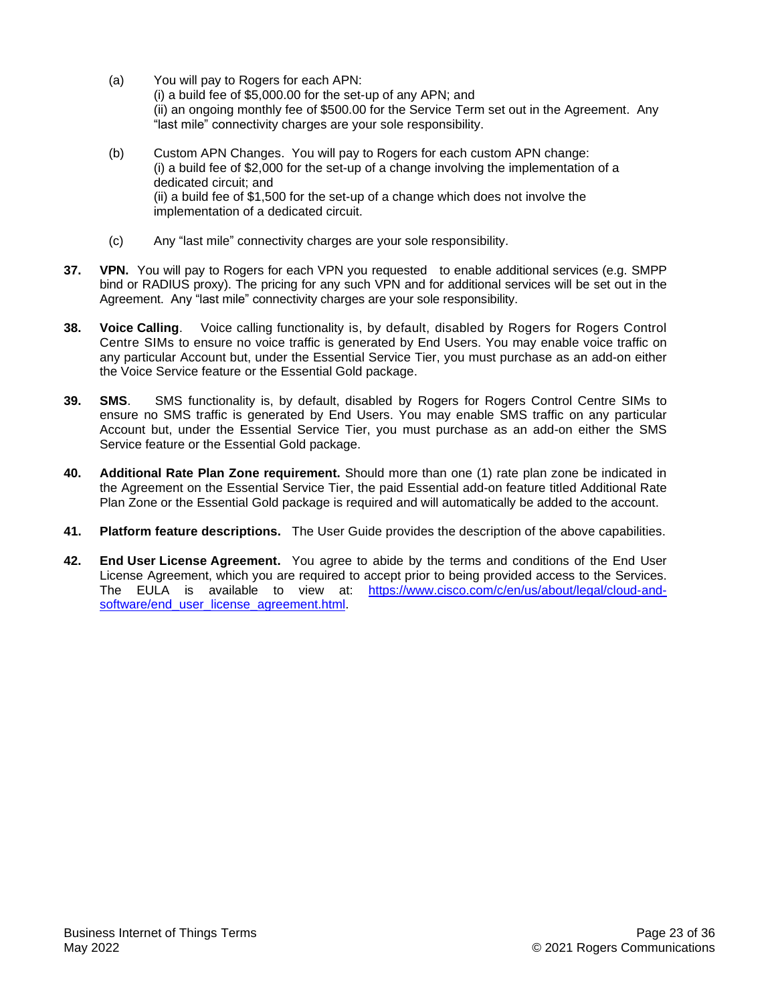- (a) You will pay to Rogers for each APN: (i) a build fee of \$5,000.00 for the set-up of any APN; and (ii) an ongoing monthly fee of \$500.00 for the Service Term set out in the Agreement. Any "last mile" connectivity charges are your sole responsibility.
- (b) Custom APN Changes. You will pay to Rogers for each custom APN change: (i) a build fee of \$2,000 for the set-up of a change involving the implementation of a dedicated circuit; and (ii) a build fee of \$1,500 for the set-up of a change which does not involve the implementation of a dedicated circuit.
- (c) Any "last mile" connectivity charges are your sole responsibility.
- **37. VPN.** You will pay to Rogers for each VPN you requested to enable additional services (e.g. SMPP bind or RADIUS proxy). The pricing for any such VPN and for additional services will be set out in the Agreement. Any "last mile" connectivity charges are your sole responsibility.
- **38. Voice Calling**. Voice calling functionality is, by default, disabled by Rogers for Rogers Control Centre SIMs to ensure no voice traffic is generated by End Users. You may enable voice traffic on any particular Account but, under the Essential Service Tier, you must purchase as an add-on either the Voice Service feature or the Essential Gold package.
- **39. SMS**. SMS functionality is, by default, disabled by Rogers for Rogers Control Centre SIMs to ensure no SMS traffic is generated by End Users. You may enable SMS traffic on any particular Account but, under the Essential Service Tier, you must purchase as an add-on either the SMS Service feature or the Essential Gold package.
- **40. Additional Rate Plan Zone requirement.** Should more than one (1) rate plan zone be indicated in the Agreement on the Essential Service Tier, the paid Essential add-on feature titled Additional Rate Plan Zone or the Essential Gold package is required and will automatically be added to the account.
- **41. Platform feature descriptions.** The User Guide provides the description of the above capabilities.
- **42. End User License Agreement.** You agree to abide by the terms and conditions of the End User License Agreement, which you are required to accept prior to being provided access to the Services. The EULA is available to view at: [https://www.cisco.com/c/en/us/about/legal/cloud-and](https://can01.safelinks.protection.outlook.com/?url=https%3A%2F%2Fwww.cisco.com%2Fc%2Fen%2Fus%2Fabout%2Flegal%2Fcloud-and-software%2Fend_user_license_agreement.html&data=04%7C01%7CNathalie.Sageau%40rci.rogers.com%7C4a1ccc489ad6428848b008d90b45aec9%7C0ab4cbbf4bc74826b52ca14fed5286b9%7C0%7C0%7C637553216167413966%7CUnknown%7CTWFpbGZsb3d8eyJWIjoiMC4wLjAwMDAiLCJQIjoiV2luMzIiLCJBTiI6Ik1haWwiLCJXVCI6Mn0%3D%7C1000&sdata=2i3UnPONShj75r2zq%2F86incvkSElJJXeyN4hz8qGHZA%3D&reserved=0)[software/end\\_user\\_license\\_agreement.html.](https://can01.safelinks.protection.outlook.com/?url=https%3A%2F%2Fwww.cisco.com%2Fc%2Fen%2Fus%2Fabout%2Flegal%2Fcloud-and-software%2Fend_user_license_agreement.html&data=04%7C01%7CNathalie.Sageau%40rci.rogers.com%7C4a1ccc489ad6428848b008d90b45aec9%7C0ab4cbbf4bc74826b52ca14fed5286b9%7C0%7C0%7C637553216167413966%7CUnknown%7CTWFpbGZsb3d8eyJWIjoiMC4wLjAwMDAiLCJQIjoiV2luMzIiLCJBTiI6Ik1haWwiLCJXVCI6Mn0%3D%7C1000&sdata=2i3UnPONShj75r2zq%2F86incvkSElJJXeyN4hz8qGHZA%3D&reserved=0)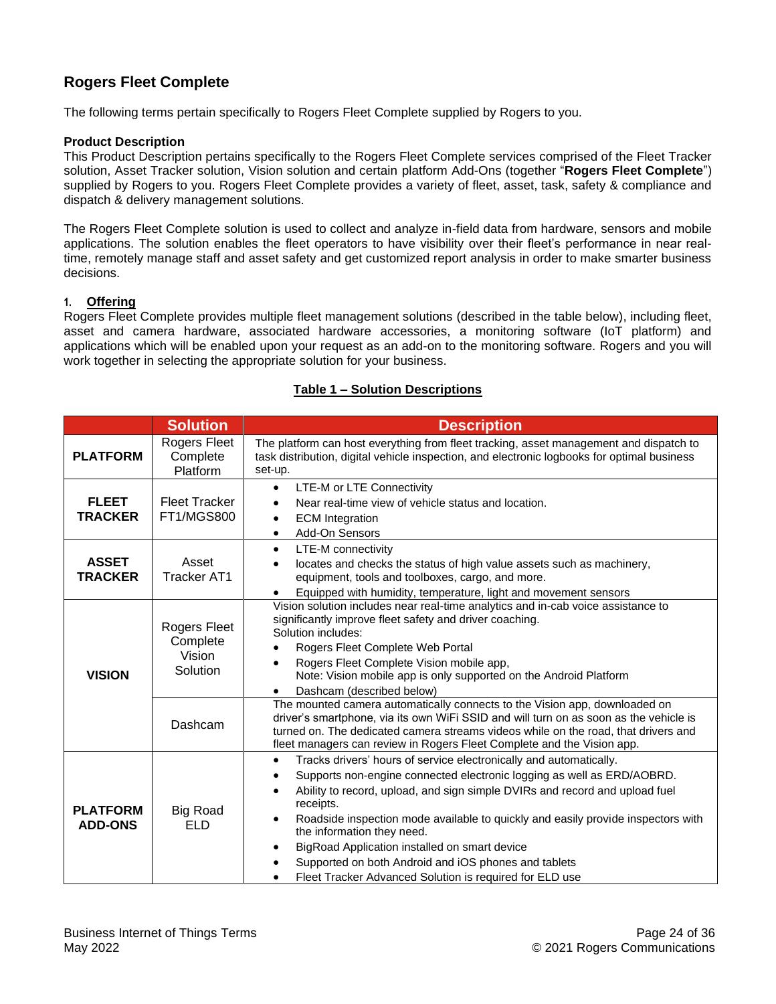# <span id="page-23-0"></span>**Rogers Fleet Complete**

The following terms pertain specifically to Rogers Fleet Complete supplied by Rogers to you.

## **Product Description**

This Product Description pertains specifically to the Rogers Fleet Complete services comprised of the Fleet Tracker solution, Asset Tracker solution, Vision solution and certain platform Add-Ons (together "**Rogers Fleet Complete**") supplied by Rogers to you. Rogers Fleet Complete provides a variety of fleet, asset, task, safety & compliance and dispatch & delivery management solutions.

The Rogers Fleet Complete solution is used to collect and analyze in-field data from hardware, sensors and mobile applications. The solution enables the fleet operators to have visibility over their fleet's performance in near realtime, remotely manage staff and asset safety and get customized report analysis in order to make smarter business decisions.

#### **1. Offering**

Rogers Fleet Complete provides multiple fleet management solutions (described in the table below), including fleet, asset and camera hardware, associated hardware accessories, a monitoring software (IoT platform) and applications which will be enabled upon your request as an add-on to the monitoring software. Rogers and you will work together in selecting the appropriate solution for your business.

#### **Table 1 – Solution Descriptions**

|                                   | <b>Solution</b>                                | <b>Description</b>                                                                                                                                                                                                                                                                                                                                                                                                                                                                                                                                                                 |
|-----------------------------------|------------------------------------------------|------------------------------------------------------------------------------------------------------------------------------------------------------------------------------------------------------------------------------------------------------------------------------------------------------------------------------------------------------------------------------------------------------------------------------------------------------------------------------------------------------------------------------------------------------------------------------------|
| <b>PLATFORM</b>                   | Rogers Fleet<br>Complete<br>Platform           | The platform can host everything from fleet tracking, asset management and dispatch to<br>task distribution, digital vehicle inspection, and electronic logbooks for optimal business<br>set-up.                                                                                                                                                                                                                                                                                                                                                                                   |
| <b>FLEET</b><br><b>TRACKER</b>    | <b>Fleet Tracker</b><br><b>FT1/MGS800</b>      | LTE-M or LTE Connectivity<br>$\bullet$<br>Near real-time view of vehicle status and location.<br><b>ECM</b> Integration<br>$\bullet$<br>Add-On Sensors<br>$\bullet$                                                                                                                                                                                                                                                                                                                                                                                                                |
| <b>ASSET</b><br><b>TRACKER</b>    | Asset<br><b>Tracker AT1</b>                    | LTE-M connectivity<br>$\bullet$<br>locates and checks the status of high value assets such as machinery,<br>٠<br>equipment, tools and toolboxes, cargo, and more.<br>Equipped with humidity, temperature, light and movement sensors<br>٠                                                                                                                                                                                                                                                                                                                                          |
| <b>VISION</b>                     | Rogers Fleet<br>Complete<br>Vision<br>Solution | Vision solution includes near real-time analytics and in-cab voice assistance to<br>significantly improve fleet safety and driver coaching.<br>Solution includes:<br>Rogers Fleet Complete Web Portal<br>Rogers Fleet Complete Vision mobile app,<br>Note: Vision mobile app is only supported on the Android Platform<br>Dashcam (described below)                                                                                                                                                                                                                                |
|                                   | Dashcam                                        | The mounted camera automatically connects to the Vision app, downloaded on<br>driver's smartphone, via its own WiFi SSID and will turn on as soon as the vehicle is<br>turned on. The dedicated camera streams videos while on the road, that drivers and<br>fleet managers can review in Rogers Fleet Complete and the Vision app.                                                                                                                                                                                                                                                |
| <b>PLATFORM</b><br><b>ADD-ONS</b> | <b>Big Road</b><br><b>ELD</b>                  | Tracks drivers' hours of service electronically and automatically.<br>$\bullet$<br>Supports non-engine connected electronic logging as well as ERD/AOBRD.<br>$\bullet$<br>Ability to record, upload, and sign simple DVIRs and record and upload fuel<br>$\bullet$<br>receipts.<br>Roadside inspection mode available to quickly and easily provide inspectors with<br>$\bullet$<br>the information they need.<br>BigRoad Application installed on smart device<br>Supported on both Android and iOS phones and tablets<br>Fleet Tracker Advanced Solution is required for ELD use |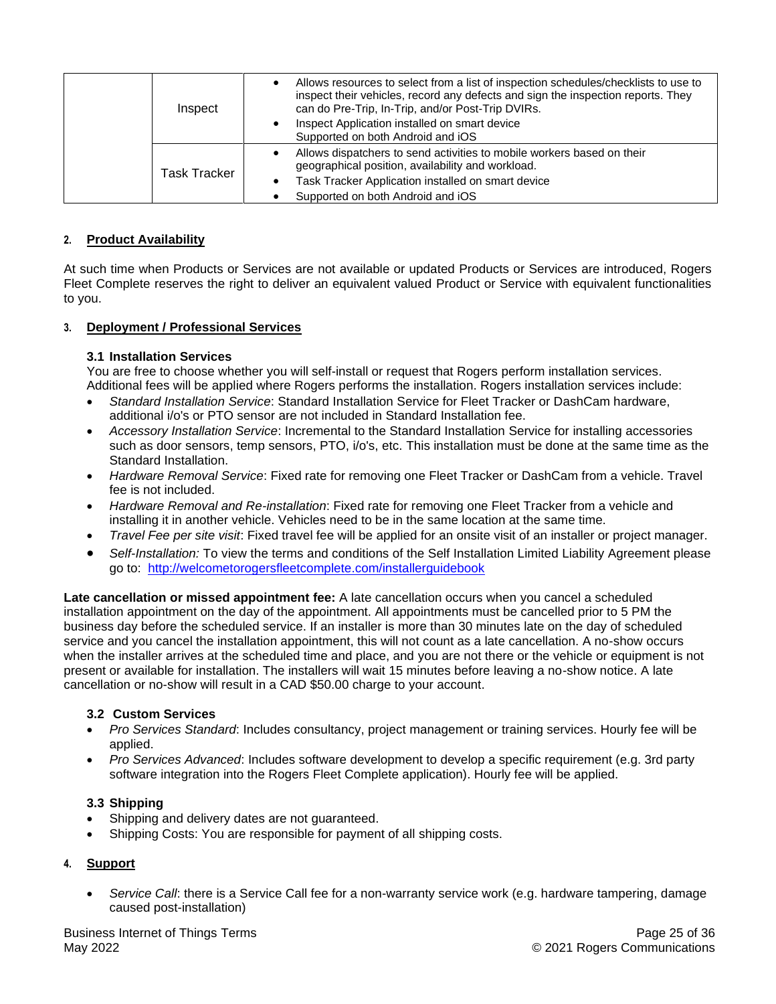| Inspect             | Allows resources to select from a list of inspection schedules/checklists to use to<br>inspect their vehicles, record any defects and sign the inspection reports. They<br>can do Pre-Trip, In-Trip, and/or Post-Trip DVIRs.<br>Inspect Application installed on smart device<br>Supported on both Android and iOS |
|---------------------|--------------------------------------------------------------------------------------------------------------------------------------------------------------------------------------------------------------------------------------------------------------------------------------------------------------------|
| <b>Task Tracker</b> | Allows dispatchers to send activities to mobile workers based on their<br>geographical position, availability and workload.<br>Task Tracker Application installed on smart device<br>٠<br>Supported on both Android and iOS                                                                                        |

# **2. Product Availability**

At such time when Products or Services are not available or updated Products or Services are introduced, Rogers Fleet Complete reserves the right to deliver an equivalent valued Product or Service with equivalent functionalities to you.

# **3. Deployment / Professional Services**

#### **3.1 Installation Services**

You are free to choose whether you will self-install or request that Rogers perform installation services. Additional fees will be applied where Rogers performs the installation. Rogers installation services include:

- *Standard Installation Service*: Standard Installation Service for Fleet Tracker or DashCam hardware, additional i/o's or PTO sensor are not included in Standard Installation fee.
- *Accessory Installation Service*: Incremental to the Standard Installation Service for installing accessories such as door sensors, temp sensors, PTO, i/o's, etc. This installation must be done at the same time as the Standard Installation.
- *Hardware Removal Service*: Fixed rate for removing one Fleet Tracker or DashCam from a vehicle. Travel fee is not included.
- *Hardware Removal and Re-installation*: Fixed rate for removing one Fleet Tracker from a vehicle and installing it in another vehicle. Vehicles need to be in the same location at the same time.
- *Travel Fee per site visit*: Fixed travel fee will be applied for an onsite visit of an installer or project manager.
- *Self-Installation:* To view the terms and conditions of the Self Installation Limited Liability Agreement please go to: <http://welcometorogersfleetcomplete.com/installerguidebook>

**Late cancellation or missed appointment fee:** A late cancellation occurs when you cancel a scheduled installation appointment on the day of the appointment. All appointments must be cancelled prior to 5 PM the business day before the scheduled service. If an installer is more than 30 minutes late on the day of scheduled service and you cancel the installation appointment, this will not count as a late cancellation. A no-show occurs when the installer arrives at the scheduled time and place, and you are not there or the vehicle or equipment is not present or available for installation. The installers will wait 15 minutes before leaving a no-show notice. A late cancellation or no-show will result in a CAD \$50.00 charge to your account.

# **3.2 Custom Services**

- *Pro Services Standard*: Includes consultancy, project management or training services. Hourly fee will be applied.
- *Pro Services Advanced*: Includes software development to develop a specific requirement (e.g. 3rd party software integration into the Rogers Fleet Complete application). Hourly fee will be applied.

# **3.3 Shipping**

- Shipping and delivery dates are not guaranteed.
- Shipping Costs: You are responsible for payment of all shipping costs.

# **4. Support**

• *Service Call*: there is a Service Call fee for a non-warranty service work (e.g. hardware tampering, damage caused post-installation)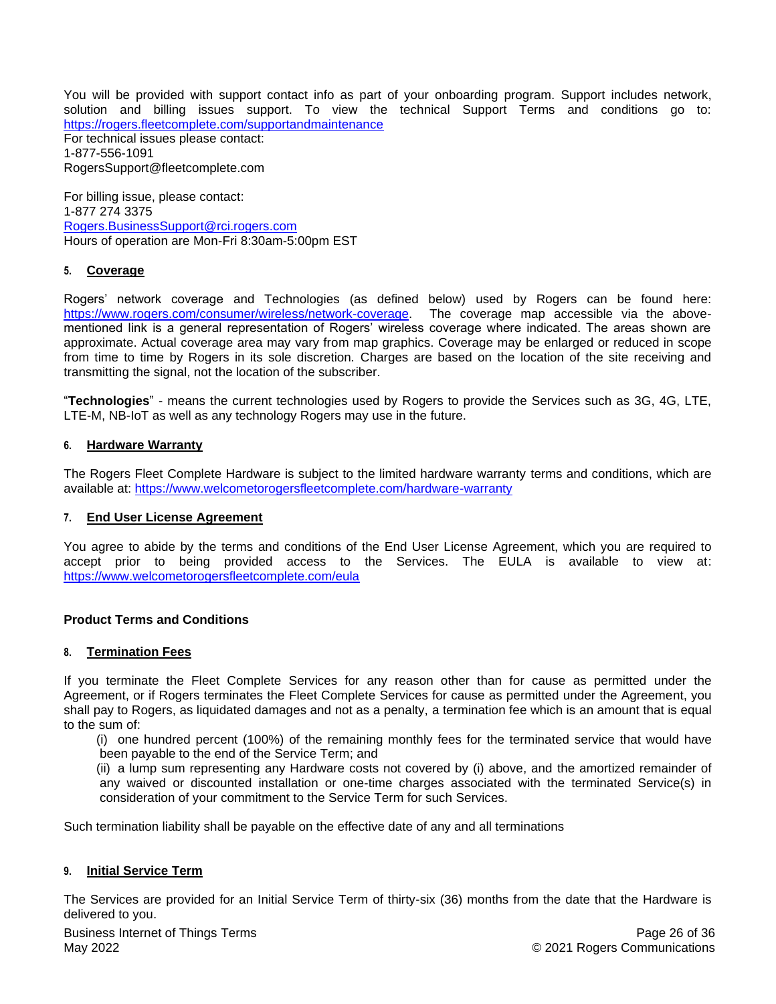You will be provided with support contact info as part of your onboarding program. Support includes network, solution and billing issues support. To view the technical Support Terms and conditions go to: <https://rogers.fleetcomplete.com/supportandmaintenance> For technical issues please contact: 1-877-556-1091 [RogersSupport@fleetcomplete.com](mailto:RogersSupport@fleetcomplete.com)

For billing issue, please contact: 1-877 274 3375 [Rogers.BusinessSupport@rci.rogers.com](mailto:Rogers.BusinessSupport@rci.rogers.com) Hours of operation are Mon-Fri 8:30am-5:00pm EST

#### **5. Coverage**

Rogers' network coverage and Technologies (as defined below) used by Rogers can be found here: [https://www.rogers.com/consumer/wireless/network-coverage.](https://www.rogers.com/consumer/wireless/network-coverage) The coverage map accessible via the abovementioned link is a general representation of Rogers' wireless coverage where indicated. The areas shown are approximate. Actual coverage area may vary from map graphics. Coverage may be enlarged or reduced in scope from time to time by Rogers in its sole discretion. Charges are based on the location of the site receiving and transmitting the signal, not the location of the subscriber.

"**Technologies**" - means the current technologies used by Rogers to provide the Services such as 3G, 4G, LTE, LTE-M, NB-IoT as well as any technology Rogers may use in the future.

#### **6. Hardware Warranty**

The Rogers Fleet Complete Hardware is subject to the limited hardware warranty terms and conditions, which are available at:<https://www.welcometorogersfleetcomplete.com/hardware-warranty>

#### **7. End User License Agreement**

You agree to abide by the terms and conditions of the End User License Agreement, which you are required to accept prior to being provided access to the Services. The EULA is available to view at: <https://www.welcometorogersfleetcomplete.com/eula>

#### **Product Terms and Conditions**

#### **8. Termination Fees**

If you terminate the Fleet Complete Services for any reason other than for cause as permitted under the Agreement, or if Rogers terminates the Fleet Complete Services for cause as permitted under the Agreement, you shall pay to Rogers, as liquidated damages and not as a penalty, a termination fee which is an amount that is equal to the sum of:

(i) one hundred percent (100%) of the remaining monthly fees for the terminated service that would have been payable to the end of the Service Term; and

(ii) a lump sum representing any Hardware costs not covered by (i) above, and the amortized remainder of any waived or discounted installation or one-time charges associated with the terminated Service(s) in consideration of your commitment to the Service Term for such Services.

Such termination liability shall be payable on the effective date of any and all terminations

#### **9. Initial Service Term**

The Services are provided for an Initial Service Term of thirty-six (36) months from the date that the Hardware is delivered to you.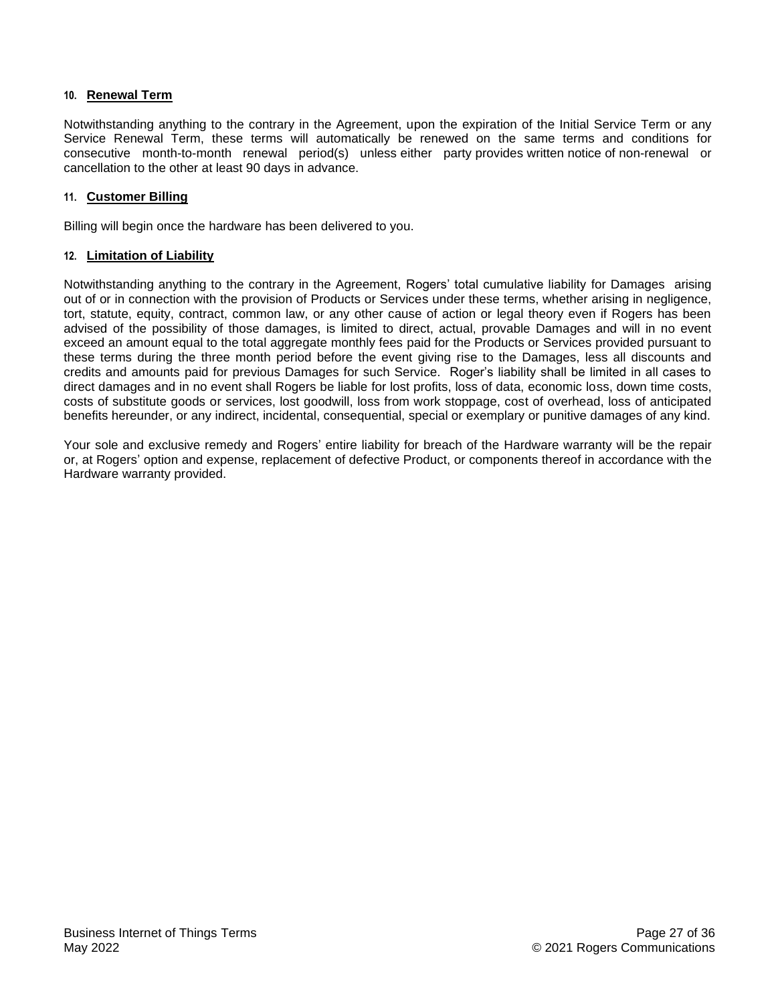#### **10. Renewal Term**

Notwithstanding anything to the contrary in the Agreement, upon the expiration of the Initial Service Term or any Service Renewal Term, these terms will automatically be renewed on the same terms and conditions for consecutive month-to-month renewal period(s) unless either party provides written notice of non-renewal or cancellation to the other at least 90 days in advance.

#### **11. Customer Billing**

Billing will begin once the hardware has been delivered to you.

#### **12. Limitation of Liability**

Notwithstanding anything to the contrary in the Agreement, Rogers' total cumulative liability for Damages arising out of or in connection with the provision of Products or Services under these terms, whether arising in negligence, tort, statute, equity, contract, common law, or any other cause of action or legal theory even if Rogers has been advised of the possibility of those damages, is limited to direct, actual, provable Damages and will in no event exceed an amount equal to the total aggregate monthly fees paid for the Products or Services provided pursuant to these terms during the three month period before the event giving rise to the Damages, less all discounts and credits and amounts paid for previous Damages for such Service. Roger's liability shall be limited in all cases to direct damages and in no event shall Rogers be liable for lost profits, loss of data, economic loss, down time costs, costs of substitute goods or services, lost goodwill, loss from work stoppage, cost of overhead, loss of anticipated benefits hereunder, or any indirect, incidental, consequential, special or exemplary or punitive damages of any kind.

Your sole and exclusive remedy and Rogers' entire liability for breach of the Hardware warranty will be the repair or, at Rogers' option and expense, replacement of defective Product, or components thereof in accordance with the Hardware warranty provided.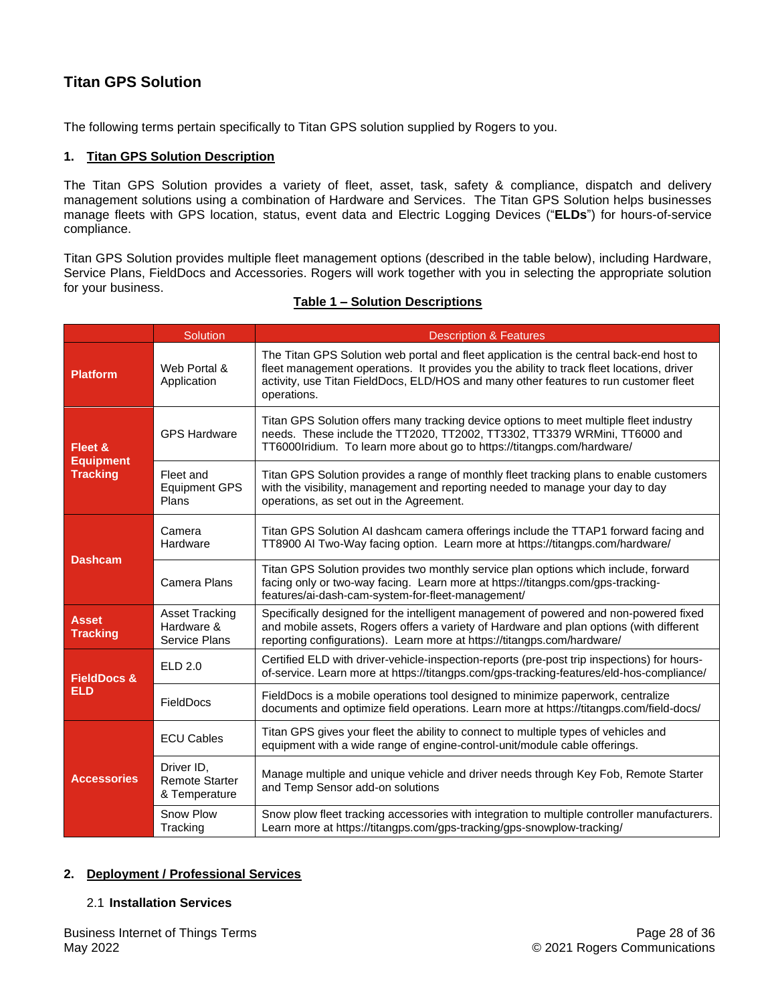# <span id="page-27-0"></span>**Titan GPS Solution**

The following terms pertain specifically to Titan GPS solution supplied by Rogers to you.

# **1. Titan GPS Solution Description**

The Titan GPS Solution provides a variety of fleet, asset, task, safety & compliance, dispatch and delivery management solutions using a combination of Hardware and Services. The Titan GPS Solution helps businesses manage fleets with GPS location, status, event data and Electric Logging Devices ("**ELDs**") for hours-of-service compliance.

Titan GPS Solution provides multiple fleet management options (described in the table below), including Hardware, Service Plans, FieldDocs and Accessories. Rogers will work together with you in selecting the appropriate solution for your business.

|                                                | Solution                                                    | <b>Description &amp; Features</b>                                                                                                                                                                                                                                                           |
|------------------------------------------------|-------------------------------------------------------------|---------------------------------------------------------------------------------------------------------------------------------------------------------------------------------------------------------------------------------------------------------------------------------------------|
| <b>Platform</b>                                | Web Portal &<br>Application                                 | The Titan GPS Solution web portal and fleet application is the central back-end host to<br>fleet management operations. It provides you the ability to track fleet locations, driver<br>activity, use Titan FieldDocs, ELD/HOS and many other features to run customer fleet<br>operations. |
| Fleet &<br><b>Equipment</b><br><b>Tracking</b> | <b>GPS Hardware</b>                                         | Titan GPS Solution offers many tracking device options to meet multiple fleet industry<br>needs. These include the TT2020, TT2002, TT3302, TT3379 WRMini, TT6000 and<br>TT6000Iridium. To learn more about go to https://titangps.com/hardware/                                             |
|                                                | Fleet and<br><b>Equipment GPS</b><br>Plans                  | Titan GPS Solution provides a range of monthly fleet tracking plans to enable customers<br>with the visibility, management and reporting needed to manage your day to day<br>operations, as set out in the Agreement.                                                                       |
| <b>Dashcam</b>                                 | Camera<br>Hardware                                          | Titan GPS Solution AI dashcam camera offerings include the TTAP1 forward facing and<br>TT8900 AI Two-Way facing option. Learn more at https://titangps.com/hardware/                                                                                                                        |
|                                                | Camera Plans                                                | Titan GPS Solution provides two monthly service plan options which include, forward<br>facing only or two-way facing. Learn more at https://titangps.com/gps-tracking-<br>features/ai-dash-cam-system-for-fleet-management/                                                                 |
| <b>Asset</b><br><b>Tracking</b>                | <b>Asset Tracking</b><br>Hardware &<br><b>Service Plans</b> | Specifically designed for the intelligent management of powered and non-powered fixed<br>and mobile assets, Rogers offers a variety of Hardware and plan options (with different<br>reporting configurations). Learn more at https://titangps.com/hardware/                                 |
| <b>FieldDocs &amp;</b><br><b>ELD</b>           | ELD 2.0                                                     | Certified ELD with driver-vehicle-inspection-reports (pre-post trip inspections) for hours-<br>of-service. Learn more at https://titangps.com/gps-tracking-features/eld-hos-compliance/                                                                                                     |
|                                                | FieldDocs                                                   | FieldDocs is a mobile operations tool designed to minimize paperwork, centralize<br>documents and optimize field operations. Learn more at https://titangps.com/field-docs/                                                                                                                 |
| <b>Accessories</b>                             | <b>ECU Cables</b>                                           | Titan GPS gives your fleet the ability to connect to multiple types of vehicles and<br>equipment with a wide range of engine-control-unit/module cable offerings.                                                                                                                           |
|                                                | Driver ID,<br><b>Remote Starter</b><br>& Temperature        | Manage multiple and unique vehicle and driver needs through Key Fob, Remote Starter<br>and Temp Sensor add-on solutions                                                                                                                                                                     |
|                                                | Snow Plow<br>Tracking                                       | Snow plow fleet tracking accessories with integration to multiple controller manufacturers.<br>Learn more at https://titangps.com/gps-tracking/gps-snowplow-tracking/                                                                                                                       |

#### **Table 1 – Solution Descriptions**

#### **2. Deployment / Professional Services**

#### 2.1 **Installation Services**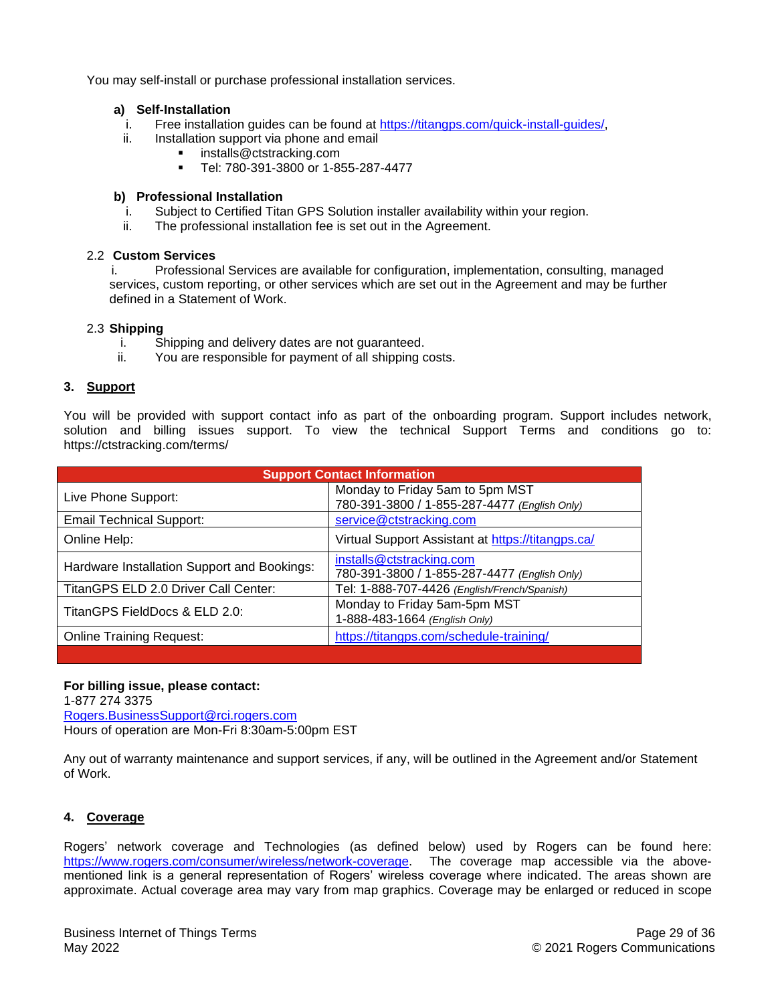You may self-install or purchase professional installation services.

#### **a) Self-Installation**

- i. Free installation guides can be found at [https://titangps.com/quick-install-guides/,](https://can01.safelinks.protection.outlook.com/?url=https%3A%2F%2Ftitangps.com%2Fquick-install-guides%2F&data=04%7C01%7CRyan.Fletcher%40rci.rogers.com%7C298da40e30204c9a920c08d9b0393b33%7C0ab4cbbf4bc74826b52ca14fed5286b9%7C0%7C0%7C637734583057760104%7CUnknown%7CTWFpbGZsb3d8eyJWIjoiMC4wLjAwMDAiLCJQIjoiV2luMzIiLCJBTiI6Ik1haWwiLCJXVCI6Mn0%3D%7C1000&sdata=UYWECrOoC%2BYDWuYAufU580jlrMEEcXSr64jVtYNWNio%3D&reserved=0)
- ii. Installation support via phone and email
	- [installs@ctstracking.com](mailto:installs@ctstracking.com)
		- Tel: 780-391-3800 or 1-855-287-4477

#### **b) Professional Installation**

- i. Subject to Certified Titan GPS Solution installer availability within your region.
- ii. The professional installation fee is set out in the Agreement.

#### 2.2 **Custom Services**

i. Professional Services are available for configuration, implementation, consulting, managed services, custom reporting, or other services which are set out in the Agreement and may be further defined in a Statement of Work.

#### 2.3 **Shipping**

- i. Shipping and delivery dates are not guaranteed.
- ii. You are responsible for payment of all shipping costs.

#### **3. Support**

You will be provided with support contact info as part of the onboarding program. Support includes network, solution and billing issues support. To view the technical Support Terms and conditions go to: https://ctstracking.com/terms/

| <b>Support Contact Information</b>          |                                                   |  |  |
|---------------------------------------------|---------------------------------------------------|--|--|
| Live Phone Support:                         | Monday to Friday 5am to 5pm MST                   |  |  |
|                                             | 780-391-3800 / 1-855-287-4477 (English Only)      |  |  |
| <b>Email Technical Support:</b>             | service@ctstracking.com                           |  |  |
| Online Help:                                | Virtual Support Assistant at https://titangps.ca/ |  |  |
| Hardware Installation Support and Bookings: | installs@ctstracking.com                          |  |  |
|                                             | 780-391-3800 / 1-855-287-4477 (English Only)      |  |  |
| TitanGPS ELD 2.0 Driver Call Center:        | Tel: 1-888-707-4426 (English/French/Spanish)      |  |  |
| TitanGPS FieldDocs & ELD 2.0:               | Monday to Friday 5am-5pm MST                      |  |  |
|                                             | 1-888-483-1664 (English Only)                     |  |  |
| <b>Online Training Request:</b>             | https://titangps.com/schedule-training/           |  |  |
|                                             |                                                   |  |  |

#### **For billing issue, please contact:**

1-877 274 3375 [Rogers.BusinessSupport@rci.rogers.com](mailto:Rogers.BusinessSupport@rci.rogers.com) Hours of operation are Mon-Fri 8:30am-5:00pm EST

Any out of warranty maintenance and support services, if any, will be outlined in the Agreement and/or Statement of Work.

# **4. Coverage**

Rogers' network coverage and Technologies (as defined below) used by Rogers can be found here: [https://www.rogers.com/consumer/wireless/network-coverage.](https://www.rogers.com/consumer/wireless/network-coverage) The coverage map accessible via the abovementioned link is a general representation of Rogers' wireless coverage where indicated. The areas shown are approximate. Actual coverage area may vary from map graphics. Coverage may be enlarged or reduced in scope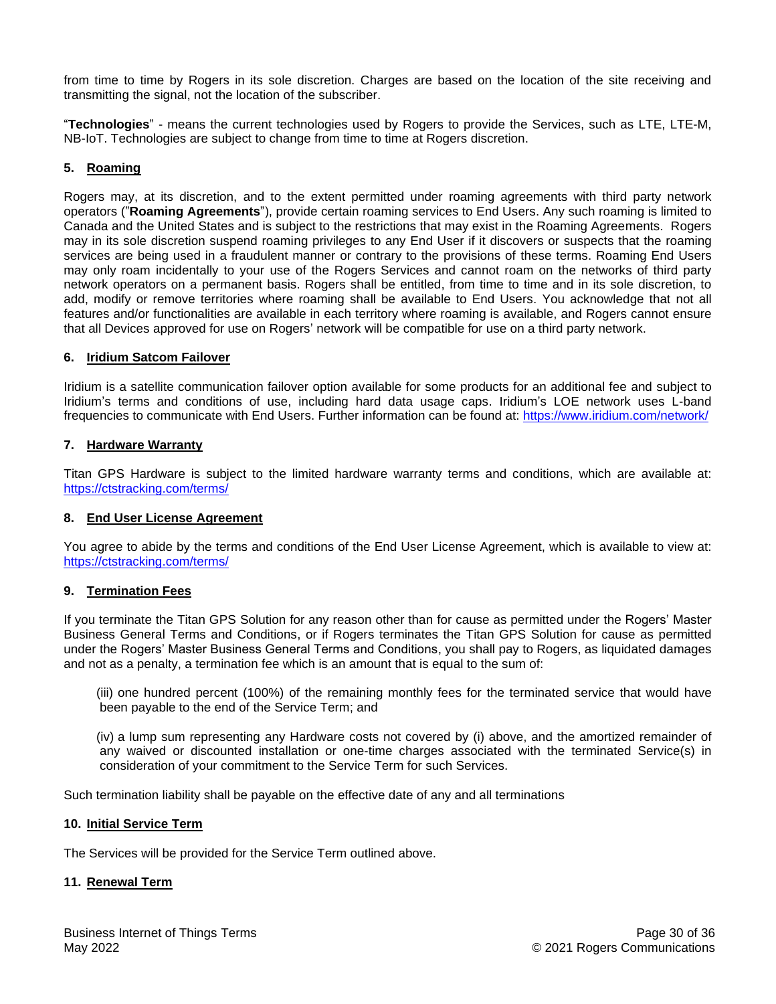from time to time by Rogers in its sole discretion. Charges are based on the location of the site receiving and transmitting the signal, not the location of the subscriber.

"**Technologies**" - means the current technologies used by Rogers to provide the Services, such as LTE, LTE-M, NB-IoT. Technologies are subject to change from time to time at Rogers discretion.

# **5. Roaming**

Rogers may, at its discretion, and to the extent permitted under roaming agreements with third party network operators ("**Roaming Agreements**"), provide certain roaming services to End Users. Any such roaming is limited to Canada and the United States and is subject to the restrictions that may exist in the Roaming Agreements. Rogers may in its sole discretion suspend roaming privileges to any End User if it discovers or suspects that the roaming services are being used in a fraudulent manner or contrary to the provisions of these terms. Roaming End Users may only roam incidentally to your use of the Rogers Services and cannot roam on the networks of third party network operators on a permanent basis. Rogers shall be entitled, from time to time and in its sole discretion, to add, modify or remove territories where roaming shall be available to End Users. You acknowledge that not all features and/or functionalities are available in each territory where roaming is available, and Rogers cannot ensure that all Devices approved for use on Rogers' network will be compatible for use on a third party network.

#### **6. Iridium Satcom Failover**

Iridium is a satellite communication failover option available for some products for an additional fee and subject to Iridium's terms and conditions of use, including hard data usage caps. Iridium's LOE network uses L-band frequencies to communicate with End Users. Further information can be found at: <https://www.iridium.com/network/>

#### **7. Hardware Warranty**

Titan GPS Hardware is subject to the limited hardware warranty terms and conditions, which are available at: <https://ctstracking.com/terms/>

#### **8. End User License Agreement**

You agree to abide by the terms and conditions of the End User License Agreement, which is available to view at: <https://ctstracking.com/terms/>

#### **9. Termination Fees**

If you terminate the Titan GPS Solution for any reason other than for cause as permitted under the Rogers' Master Business General Terms and Conditions, or if Rogers terminates the Titan GPS Solution for cause as permitted under the Rogers' Master Business General Terms and Conditions, you shall pay to Rogers, as liquidated damages and not as a penalty, a termination fee which is an amount that is equal to the sum of:

(iii) one hundred percent (100%) of the remaining monthly fees for the terminated service that would have been payable to the end of the Service Term; and

(iv) a lump sum representing any Hardware costs not covered by (i) above, and the amortized remainder of any waived or discounted installation or one-time charges associated with the terminated Service(s) in consideration of your commitment to the Service Term for such Services.

Such termination liability shall be payable on the effective date of any and all terminations

#### **10. Initial Service Term**

The Services will be provided for the Service Term outlined above.

#### **11. Renewal Term**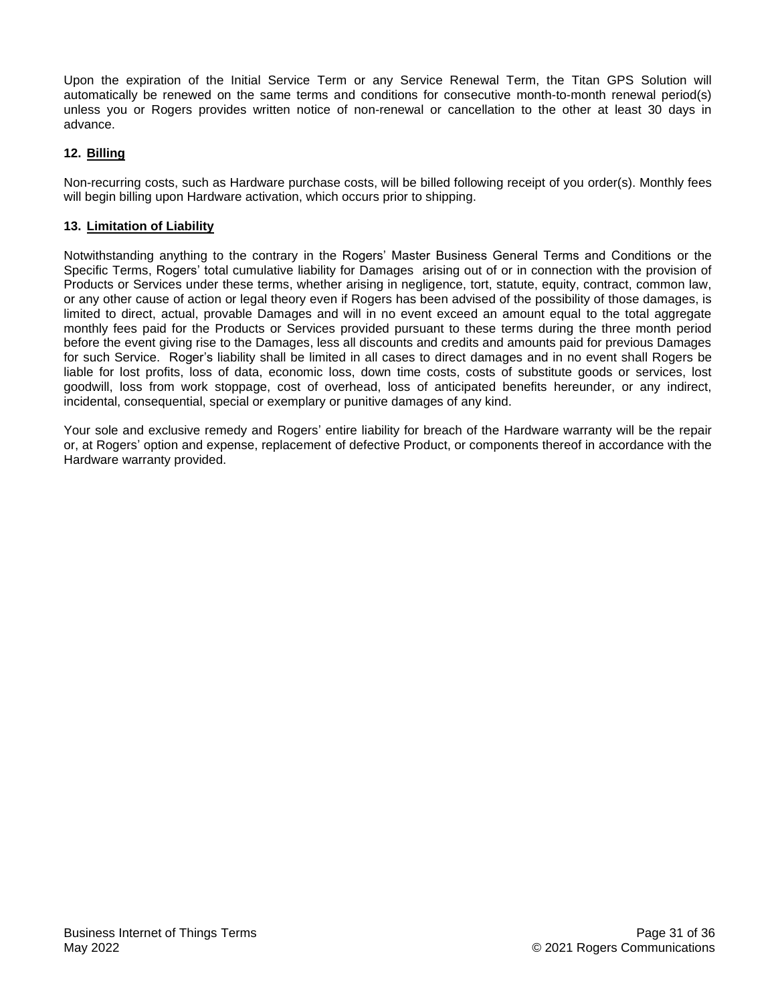Upon the expiration of the Initial Service Term or any Service Renewal Term, the Titan GPS Solution will automatically be renewed on the same terms and conditions for consecutive month-to-month renewal period(s) unless you or Rogers provides written notice of non-renewal or cancellation to the other at least 30 days in advance.

# **12. Billing**

Non-recurring costs, such as Hardware purchase costs, will be billed following receipt of you order(s). Monthly fees will begin billing upon Hardware activation, which occurs prior to shipping.

## **13. Limitation of Liability**

Notwithstanding anything to the contrary in the Rogers' Master Business General Terms and Conditions or the Specific Terms, Rogers' total cumulative liability for Damages arising out of or in connection with the provision of Products or Services under these terms, whether arising in negligence, tort, statute, equity, contract, common law, or any other cause of action or legal theory even if Rogers has been advised of the possibility of those damages, is limited to direct, actual, provable Damages and will in no event exceed an amount equal to the total aggregate monthly fees paid for the Products or Services provided pursuant to these terms during the three month period before the event giving rise to the Damages, less all discounts and credits and amounts paid for previous Damages for such Service. Roger's liability shall be limited in all cases to direct damages and in no event shall Rogers be liable for lost profits, loss of data, economic loss, down time costs, costs of substitute goods or services, lost goodwill, loss from work stoppage, cost of overhead, loss of anticipated benefits hereunder, or any indirect, incidental, consequential, special or exemplary or punitive damages of any kind.

Your sole and exclusive remedy and Rogers' entire liability for breach of the Hardware warranty will be the repair or, at Rogers' option and expense, replacement of defective Product, or components thereof in accordance with the Hardware warranty provided.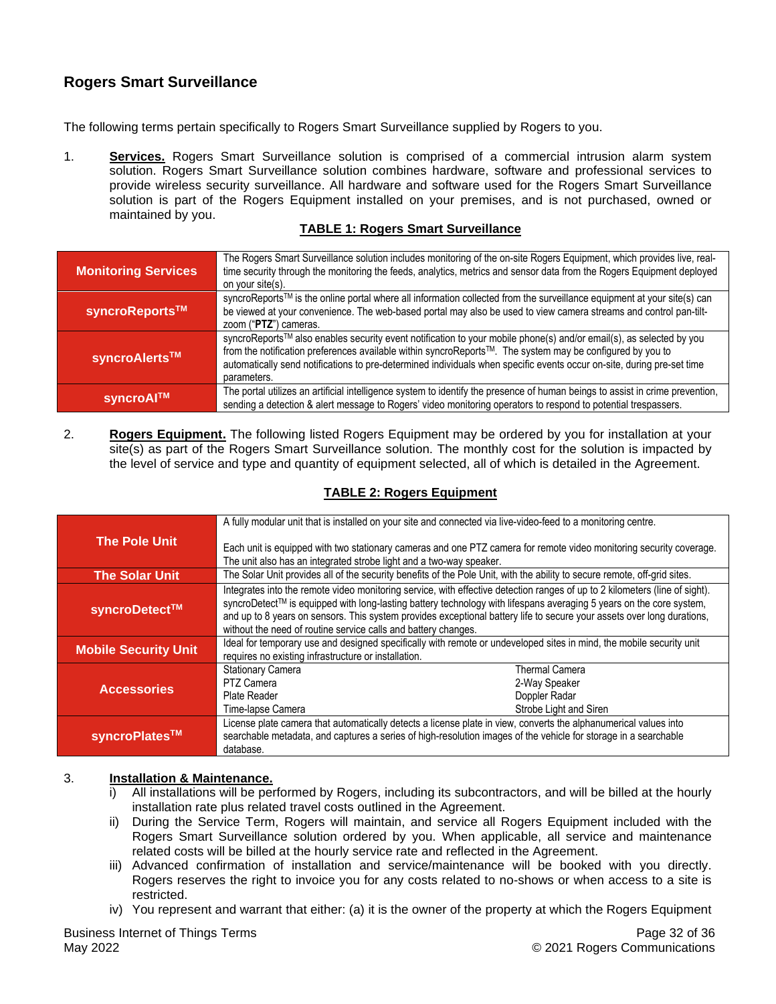# <span id="page-31-0"></span>**Rogers Smart Surveillance**

The following terms pertain specifically to Rogers Smart Surveillance supplied by Rogers to you.

1. **Services.** Rogers Smart Surveillance solution is comprised of a commercial intrusion alarm system solution. Rogers Smart Surveillance solution combines hardware, software and professional services to provide wireless security surveillance. All hardware and software used for the Rogers Smart Surveillance solution is part of the Rogers Equipment installed on your premises, and is not purchased, owned or maintained by you.

# **TABLE 1: Rogers Smart Surveillance**

| <b>Monitoring Services</b> | The Rogers Smart Surveillance solution includes monitoring of the on-site Rogers Equipment, which provides live, real-<br>time security through the monitoring the feeds, analytics, metrics and sensor data from the Rogers Equipment deployed<br>on your site(s).                                                                                                       |
|----------------------------|---------------------------------------------------------------------------------------------------------------------------------------------------------------------------------------------------------------------------------------------------------------------------------------------------------------------------------------------------------------------------|
| syncroReports™             | syncroReports™ is the online portal where all information collected from the surveillance equipment at your site(s) can<br>be viewed at your convenience. The web-based portal may also be used to view camera streams and control pan-tilt-<br>zoom ("PTZ") cameras.                                                                                                     |
| syncroAlerts™              | syncroReports™ also enables security event notification to your mobile phone(s) and/or email(s), as selected by you<br>from the notification preferences available within syncroReports™. The system may be configured by you to<br>automatically send notifications to pre-determined individuals when specific events occur on-site, during pre-set time<br>parameters. |
| syncroAl™                  | The portal utilizes an artificial intelligence system to identify the presence of human beings to assist in crime prevention,<br>sending a detection & alert message to Rogers' video monitoring operators to respond to potential trespassers.                                                                                                                           |

2. **Rogers Equipment.** The following listed Rogers Equipment may be ordered by you for installation at your site(s) as part of the Rogers Smart Surveillance solution. The monthly cost for the solution is impacted by the level of service and type and quantity of equipment selected, all of which is detailed in the Agreement.

# **TABLE 2: Rogers Equipment**

| <b>The Pole Unit</b>        |                                                                                                                                                                                                                                                                                                                                                                                                                                                | A fully modular unit that is installed on your site and connected via live-video-feed to a monitoring centre. |  |
|-----------------------------|------------------------------------------------------------------------------------------------------------------------------------------------------------------------------------------------------------------------------------------------------------------------------------------------------------------------------------------------------------------------------------------------------------------------------------------------|---------------------------------------------------------------------------------------------------------------|--|
|                             | Each unit is equipped with two stationary cameras and one PTZ camera for remote video monitoring security coverage.<br>The unit also has an integrated strobe light and a two-way speaker.                                                                                                                                                                                                                                                     |                                                                                                               |  |
| <b>The Solar Unit</b>       | The Solar Unit provides all of the security benefits of the Pole Unit, with the ability to secure remote, off-grid sites.                                                                                                                                                                                                                                                                                                                      |                                                                                                               |  |
| syncroDetect™               | Integrates into the remote video monitoring service, with effective detection ranges of up to 2 kilometers (line of sight).<br>syncroDetect™ is equipped with long-lasting battery technology with lifespans averaging 5 years on the core system,<br>and up to 8 years on sensors. This system provides exceptional battery life to secure your assets over long durations,<br>without the need of routine service calls and battery changes. |                                                                                                               |  |
| <b>Mobile Security Unit</b> | Ideal for temporary use and designed specifically with remote or undeveloped sites in mind, the mobile security unit<br>requires no existing infrastructure or installation.                                                                                                                                                                                                                                                                   |                                                                                                               |  |
| <b>Accessories</b>          | <b>Stationary Camera</b>                                                                                                                                                                                                                                                                                                                                                                                                                       | <b>Thermal Camera</b>                                                                                         |  |
|                             | PTZ Camera                                                                                                                                                                                                                                                                                                                                                                                                                                     | 2-Way Speaker                                                                                                 |  |
|                             | Plate Reader                                                                                                                                                                                                                                                                                                                                                                                                                                   | Doppler Radar                                                                                                 |  |
|                             | Time-lapse Camera                                                                                                                                                                                                                                                                                                                                                                                                                              | Strobe Light and Siren                                                                                        |  |
| syncroPlates™               | License plate camera that automatically detects a license plate in view, converts the alphanumerical values into<br>searchable metadata, and captures a series of high-resolution images of the vehicle for storage in a searchable<br>database.                                                                                                                                                                                               |                                                                                                               |  |

#### 3. **Installation & Maintenance.**

- i) All installations will be performed by Rogers, including its subcontractors, and will be billed at the hourly installation rate plus related travel costs outlined in the Agreement.
- ii) During the Service Term, Rogers will maintain, and service all Rogers Equipment included with the Rogers Smart Surveillance solution ordered by you. When applicable, all service and maintenance related costs will be billed at the hourly service rate and reflected in the Agreement.
- iii) Advanced confirmation of installation and service/maintenance will be booked with you directly. Rogers reserves the right to invoice you for any costs related to no-shows or when access to a site is restricted.
- iv) You represent and warrant that either: (a) it is the owner of the property at which the Rogers Equipment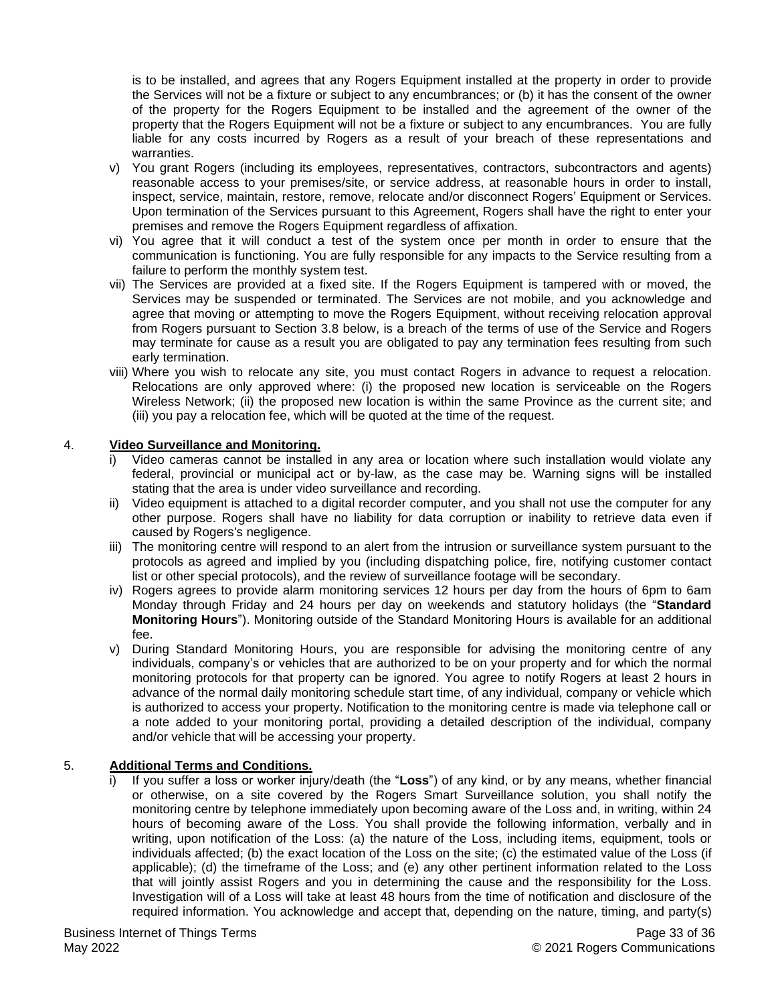is to be installed, and agrees that any Rogers Equipment installed at the property in order to provide the Services will not be a fixture or subject to any encumbrances; or (b) it has the consent of the owner of the property for the Rogers Equipment to be installed and the agreement of the owner of the property that the Rogers Equipment will not be a fixture or subject to any encumbrances. You are fully liable for any costs incurred by Rogers as a result of your breach of these representations and warranties.

- v) You grant Rogers (including its employees, representatives, contractors, subcontractors and agents) reasonable access to your premises/site, or service address, at reasonable hours in order to install, inspect, service, maintain, restore, remove, relocate and/or disconnect Rogers' Equipment or Services. Upon termination of the Services pursuant to this Agreement, Rogers shall have the right to enter your premises and remove the Rogers Equipment regardless of affixation.
- vi) You agree that it will conduct a test of the system once per month in order to ensure that the communication is functioning. You are fully responsible for any impacts to the Service resulting from a failure to perform the monthly system test.
- vii) The Services are provided at a fixed site. If the Rogers Equipment is tampered with or moved, the Services may be suspended or terminated. The Services are not mobile, and you acknowledge and agree that moving or attempting to move the Rogers Equipment, without receiving relocation approval from Rogers pursuant to Section 3.8 below, is a breach of the terms of use of the Service and Rogers may terminate for cause as a result you are obligated to pay any termination fees resulting from such early termination.
- viii) Where you wish to relocate any site, you must contact Rogers in advance to request a relocation. Relocations are only approved where: (i) the proposed new location is serviceable on the Rogers Wireless Network; (ii) the proposed new location is within the same Province as the current site; and (iii) you pay a relocation fee, which will be quoted at the time of the request.

#### 4. **Video Surveillance and Monitoring.**

- i) Video cameras cannot be installed in any area or location where such installation would violate any federal, provincial or municipal act or by-law, as the case may be. Warning signs will be installed stating that the area is under video surveillance and recording.
- ii) Video equipment is attached to a digital recorder computer, and you shall not use the computer for any other purpose. Rogers shall have no liability for data corruption or inability to retrieve data even if caused by Rogers's negligence.
- iii) The monitoring centre will respond to an alert from the intrusion or surveillance system pursuant to the protocols as agreed and implied by you (including dispatching police, fire, notifying customer contact list or other special protocols), and the review of surveillance footage will be secondary.
- iv) Rogers agrees to provide alarm monitoring services 12 hours per day from the hours of 6pm to 6am Monday through Friday and 24 hours per day on weekends and statutory holidays (the "**Standard Monitoring Hours**"). Monitoring outside of the Standard Monitoring Hours is available for an additional fee.
- v) During Standard Monitoring Hours, you are responsible for advising the monitoring centre of any individuals, company's or vehicles that are authorized to be on your property and for which the normal monitoring protocols for that property can be ignored. You agree to notify Rogers at least 2 hours in advance of the normal daily monitoring schedule start time, of any individual, company or vehicle which is authorized to access your property. Notification to the monitoring centre is made via telephone call or a note added to your monitoring portal, providing a detailed description of the individual, company and/or vehicle that will be accessing your property.

#### 5. **Additional Terms and Conditions.**

If you suffer a loss or worker injury/death (the "**Loss**") of any kind, or by any means, whether financial or otherwise, on a site covered by the Rogers Smart Surveillance solution, you shall notify the monitoring centre by telephone immediately upon becoming aware of the Loss and, in writing, within 24 hours of becoming aware of the Loss. You shall provide the following information, verbally and in writing, upon notification of the Loss: (a) the nature of the Loss, including items, equipment, tools or individuals affected; (b) the exact location of the Loss on the site; (c) the estimated value of the Loss (if applicable); (d) the timeframe of the Loss; and (e) any other pertinent information related to the Loss that will jointly assist Rogers and you in determining the cause and the responsibility for the Loss. Investigation will of a Loss will take at least 48 hours from the time of notification and disclosure of the required information. You acknowledge and accept that, depending on the nature, timing, and party(s)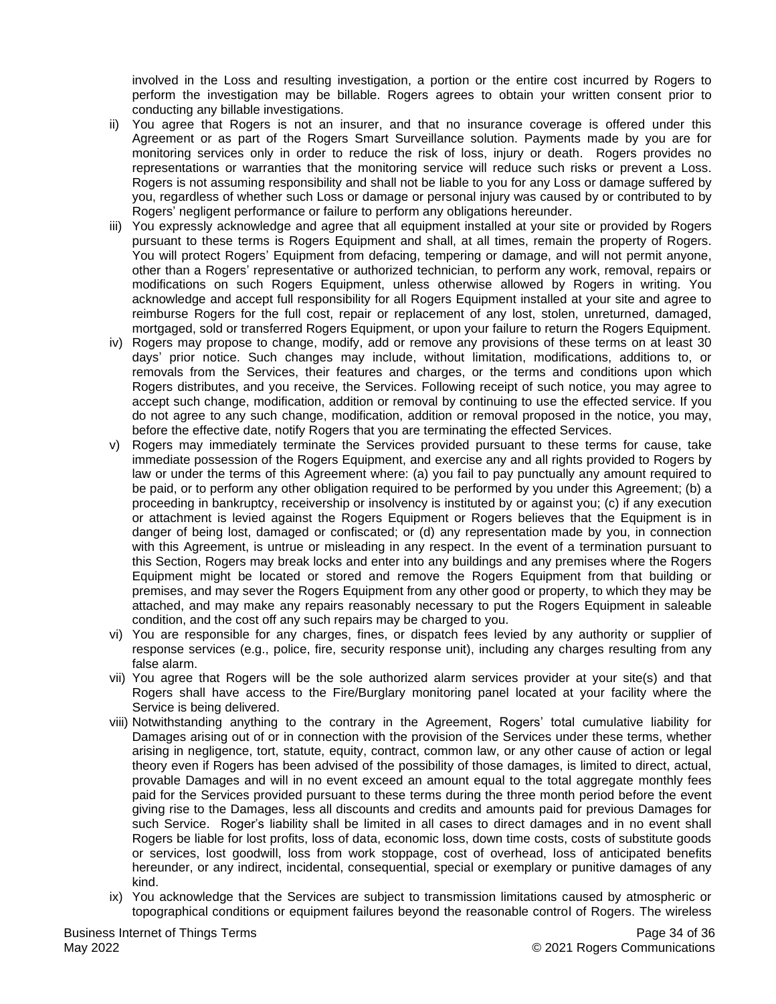involved in the Loss and resulting investigation, a portion or the entire cost incurred by Rogers to perform the investigation may be billable. Rogers agrees to obtain your written consent prior to conducting any billable investigations.

- ii) You agree that Rogers is not an insurer, and that no insurance coverage is offered under this Agreement or as part of the Rogers Smart Surveillance solution. Payments made by you are for monitoring services only in order to reduce the risk of loss, injury or death. Rogers provides no representations or warranties that the monitoring service will reduce such risks or prevent a Loss. Rogers is not assuming responsibility and shall not be liable to you for any Loss or damage suffered by you, regardless of whether such Loss or damage or personal injury was caused by or contributed to by Rogers' negligent performance or failure to perform any obligations hereunder.
- iii) You expressly acknowledge and agree that all equipment installed at your site or provided by Rogers pursuant to these terms is Rogers Equipment and shall, at all times, remain the property of Rogers. You will protect Rogers' Equipment from defacing, tempering or damage, and will not permit anyone, other than a Rogers' representative or authorized technician, to perform any work, removal, repairs or modifications on such Rogers Equipment, unless otherwise allowed by Rogers in writing. You acknowledge and accept full responsibility for all Rogers Equipment installed at your site and agree to reimburse Rogers for the full cost, repair or replacement of any lost, stolen, unreturned, damaged, mortgaged, sold or transferred Rogers Equipment, or upon your failure to return the Rogers Equipment.
- iv) Rogers may propose to change, modify, add or remove any provisions of these terms on at least 30 days' prior notice. Such changes may include, without limitation, modifications, additions to, or removals from the Services, their features and charges, or the terms and conditions upon which Rogers distributes, and you receive, the Services. Following receipt of such notice, you may agree to accept such change, modification, addition or removal by continuing to use the effected service. If you do not agree to any such change, modification, addition or removal proposed in the notice, you may, before the effective date, notify Rogers that you are terminating the effected Services.
- v) Rogers may immediately terminate the Services provided pursuant to these terms for cause, take immediate possession of the Rogers Equipment, and exercise any and all rights provided to Rogers by law or under the terms of this Agreement where: (a) you fail to pay punctually any amount required to be paid, or to perform any other obligation required to be performed by you under this Agreement; (b) a proceeding in bankruptcy, receivership or insolvency is instituted by or against you; (c) if any execution or attachment is levied against the Rogers Equipment or Rogers believes that the Equipment is in danger of being lost, damaged or confiscated; or (d) any representation made by you, in connection with this Agreement, is untrue or misleading in any respect. In the event of a termination pursuant to this Section, Rogers may break locks and enter into any buildings and any premises where the Rogers Equipment might be located or stored and remove the Rogers Equipment from that building or premises, and may sever the Rogers Equipment from any other good or property, to which they may be attached, and may make any repairs reasonably necessary to put the Rogers Equipment in saleable condition, and the cost off any such repairs may be charged to you.
- vi) You are responsible for any charges, fines, or dispatch fees levied by any authority or supplier of response services (e.g., police, fire, security response unit), including any charges resulting from any false alarm.
- vii) You agree that Rogers will be the sole authorized alarm services provider at your site(s) and that Rogers shall have access to the Fire/Burglary monitoring panel located at your facility where the Service is being delivered.
- viii) Notwithstanding anything to the contrary in the Agreement, Rogers' total cumulative liability for Damages arising out of or in connection with the provision of the Services under these terms, whether arising in negligence, tort, statute, equity, contract, common law, or any other cause of action or legal theory even if Rogers has been advised of the possibility of those damages, is limited to direct, actual, provable Damages and will in no event exceed an amount equal to the total aggregate monthly fees paid for the Services provided pursuant to these terms during the three month period before the event giving rise to the Damages, less all discounts and credits and amounts paid for previous Damages for such Service. Roger's liability shall be limited in all cases to direct damages and in no event shall Rogers be liable for lost profits, loss of data, economic loss, down time costs, costs of substitute goods or services, lost goodwill, loss from work stoppage, cost of overhead, loss of anticipated benefits hereunder, or any indirect, incidental, consequential, special or exemplary or punitive damages of any kind.
- ix) You acknowledge that the Services are subject to transmission limitations caused by atmospheric or topographical conditions or equipment failures beyond the reasonable control of Rogers. The wireless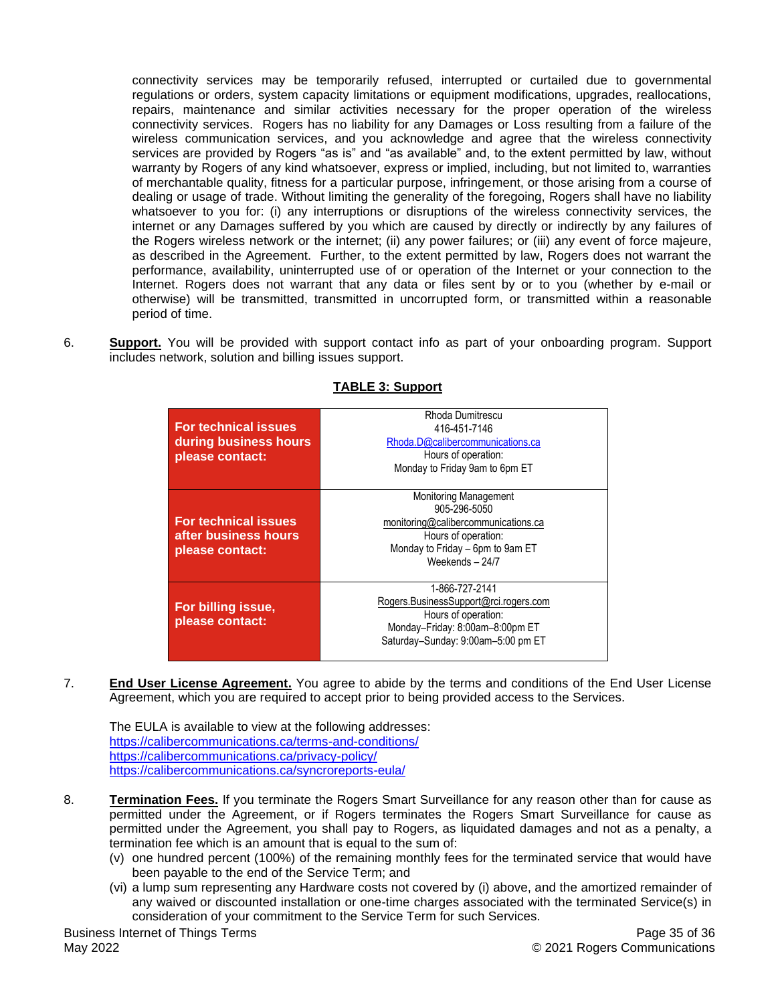connectivity services may be temporarily refused, interrupted or curtailed due to governmental regulations or orders, system capacity limitations or equipment modifications, upgrades, reallocations, repairs, maintenance and similar activities necessary for the proper operation of the wireless connectivity services. Rogers has no liability for any Damages or Loss resulting from a failure of the wireless communication services, and you acknowledge and agree that the wireless connectivity services are provided by Rogers "as is" and "as available" and, to the extent permitted by law, without warranty by Rogers of any kind whatsoever, express or implied, including, but not limited to, warranties of merchantable quality, fitness for a particular purpose, infringement, or those arising from a course of dealing or usage of trade. Without limiting the generality of the foregoing, Rogers shall have no liability whatsoever to you for: (i) any interruptions or disruptions of the wireless connectivity services, the internet or any Damages suffered by you which are caused by directly or indirectly by any failures of the Rogers wireless network or the internet; (ii) any power failures; or (iii) any event of force majeure, as described in the Agreement. Further, to the extent permitted by law, Rogers does not warrant the performance, availability, uninterrupted use of or operation of the Internet or your connection to the Internet. Rogers does not warrant that any data or files sent by or to you (whether by e-mail or otherwise) will be transmitted, transmitted in uncorrupted form, or transmitted within a reasonable period of time.

6. **Support.** You will be provided with support contact info as part of your onboarding program. Support includes network, solution and billing issues support.

| <b>For technical issues</b><br>during business hours<br>please contact: | Rhoda Dumitrescu<br>416-451-7146<br>Rhoda.D@calibercommunications.ca<br>Hours of operation:<br>Monday to Friday 9am to 6pm ET                                   |
|-------------------------------------------------------------------------|-----------------------------------------------------------------------------------------------------------------------------------------------------------------|
| For technical issues<br>after business hours<br>please contact:         | <b>Monitoring Management</b><br>905-296-5050<br>monitoring@calibercommunications.ca<br>Hours of operation:<br>Monday to Friday - 6pm to 9am ET<br>Weekends-24/7 |
| For billing issue,<br>please contact:                                   | 1-866-727-2141<br>Rogers.BusinessSupport@rci.rogers.com<br>Hours of operation:<br>Monday-Friday: 8:00am-8:00pm ET<br>Saturday-Sunday: 9:00am-5:00 pm ET         |

# **TABLE 3: Support**

7. **End User License Agreement.** You agree to abide by the terms and conditions of the End User License Agreement, which you are required to accept prior to being provided access to the Services.

The EULA is available to view at the following addresses: [https://calibercommunications.ca/terms-and-conditions/](https://can01.safelinks.protection.outlook.com/?url=https%3A%2F%2Fcalibercommunications.ca%2Fterms-and-conditions%2F&data=04%7C01%7CRoopesh.Patel%40rci.rogers.com%7C891fc451b080484eb3a408d97f7d4a87%7C0ab4cbbf4bc74826b52ca14fed5286b9%7C0%7C0%7C637680998366613945%7CUnknown%7CTWFpbGZsb3d8eyJWIjoiMC4wLjAwMDAiLCJQIjoiV2luMzIiLCJBTiI6Ik1haWwiLCJXVCI6Mn0%3D%7C1000&sdata=W%2BTZbHbT7a4xSQzt44LhkDry6FRx3H%2BxikpDtDsyqk4%3D&reserved=0) [https://calibercommunications.ca/privacy-policy/](https://can01.safelinks.protection.outlook.com/?url=https%3A%2F%2Fcalibercommunications.ca%2Fprivacy-policy%2F&data=04%7C01%7CRoopesh.Patel%40rci.rogers.com%7C891fc451b080484eb3a408d97f7d4a87%7C0ab4cbbf4bc74826b52ca14fed5286b9%7C0%7C0%7C637680998366623905%7CUnknown%7CTWFpbGZsb3d8eyJWIjoiMC4wLjAwMDAiLCJQIjoiV2luMzIiLCJBTiI6Ik1haWwiLCJXVCI6Mn0%3D%7C1000&sdata=F4awXQQXdpka9rRKS0LYCbAGOICnbGo%2BohAnukpI4uA%3D&reserved=0) [https://calibercommunications.ca/syncroreports-eula/](https://can01.safelinks.protection.outlook.com/?url=https%3A%2F%2Fcalibercommunications.ca%2Fsyncroreports-eula%2F&data=04%7C01%7CRoopesh.Patel%40rci.rogers.com%7C891fc451b080484eb3a408d97f7d4a87%7C0ab4cbbf4bc74826b52ca14fed5286b9%7C0%7C0%7C637680998366623905%7CUnknown%7CTWFpbGZsb3d8eyJWIjoiMC4wLjAwMDAiLCJQIjoiV2luMzIiLCJBTiI6Ik1haWwiLCJXVCI6Mn0%3D%7C1000&sdata=O3N8LAdGzRd%2FaTza5AYjvIrco72Rh7UiP9N5XfAaVp0%3D&reserved=0)

- 8. **Termination Fees.** If you terminate the Rogers Smart Surveillance for any reason other than for cause as permitted under the Agreement, or if Rogers terminates the Rogers Smart Surveillance for cause as permitted under the Agreement, you shall pay to Rogers, as liquidated damages and not as a penalty, a termination fee which is an amount that is equal to the sum of:
	- (v) one hundred percent (100%) of the remaining monthly fees for the terminated service that would have been payable to the end of the Service Term; and
	- (vi) a lump sum representing any Hardware costs not covered by (i) above, and the amortized remainder of any waived or discounted installation or one-time charges associated with the terminated Service(s) in consideration of your commitment to the Service Term for such Services.